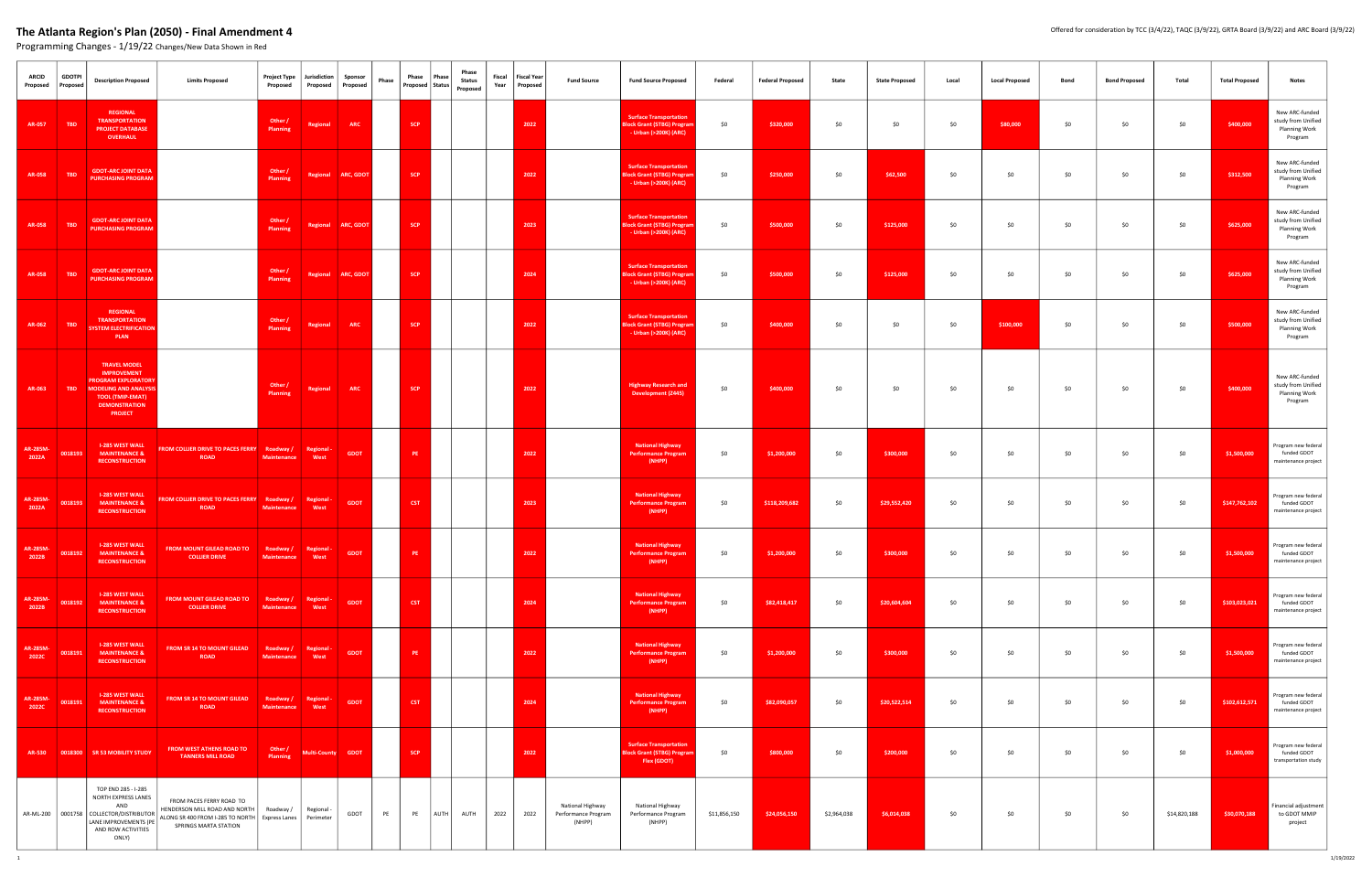| <b>ARCID</b><br>Proposed | <b>GDOTPI</b><br>Proposed | <b>Description Proposed</b>                                                                                                                                                  | <b>Limits Proposed</b>                                                                                                                             | Project Type<br>Proposed        | Jurisdiction<br>Proposed | Sponsor<br>Proposed | Phase | Phase      | Phase<br>Proposed Status Proposed | Phase<br><b>Status</b> | Fiscal | <b>Fiscal Year</b><br>Year Proposed | <b>Fund Source</b>                                | <b>Fund Source Proposed</b>                                                                 | Federal      | <b>Federal Proposed</b> | State       | <b>State Proposed</b> | Local | <b>Local Proposed</b> | Bond | <b>Bond Proposed</b> | Total        | <b>Total Proposed</b> | <b>Notes</b>                                                            |
|--------------------------|---------------------------|------------------------------------------------------------------------------------------------------------------------------------------------------------------------------|----------------------------------------------------------------------------------------------------------------------------------------------------|---------------------------------|--------------------------|---------------------|-------|------------|-----------------------------------|------------------------|--------|-------------------------------------|---------------------------------------------------|---------------------------------------------------------------------------------------------|--------------|-------------------------|-------------|-----------------------|-------|-----------------------|------|----------------------|--------------|-----------------------|-------------------------------------------------------------------------|
| AR-057                   | <b>TBD</b>                | <b>REGIONAL</b><br><b>TRANSPORTATION</b><br><b>PROJECT DATABASE</b><br>OVERHAUL                                                                                              |                                                                                                                                                    | Other /<br>Planning             | Regional                 | <b>ARC</b>          |       | <b>SCP</b> |                                   |                        |        | 2022                                |                                                   | <b>Surface Transportation</b><br><b>Block Grant (STBG) Progran</b><br>- Urban (>200K) (ARC) | \$0          | \$320,000               | \$0         | \$0                   | \$0   | \$80,000              | \$0  | \$0                  | \$0          | \$400,000             | New ARC-funded<br>study from Unified<br><b>Planning Work</b><br>Program |
| AR-058                   | <b>TBD</b>                | <b>GDOT-ARC JOINT DATA</b><br><b>PURCHASING PROGRAM</b>                                                                                                                      |                                                                                                                                                    | Other /<br>Planning             |                          | Regional ARC, GDOT  |       | <b>SCP</b> |                                   |                        |        | 2022                                |                                                   | <b>Surface Transportation</b><br><b>Block Grant (STBG) Progran</b><br>- Urban (>200K) (ARC) | \$0          | \$250,000               | \$0         | \$62,500              | \$0   | \$0                   | \$0  | \$0                  | \$0          | \$312,500             | New ARC-funded<br>study from Unified<br>Planning Work<br>Program        |
| <b>AR-058</b>            | <b>TBD</b>                | <b>GDOT-ARC JOINT DATA</b><br><b>PURCHASING PROGRAM</b>                                                                                                                      |                                                                                                                                                    | Other /<br>Planning             |                          | Regional ARC, GDOT  |       | <b>SCP</b> |                                   |                        |        | 2023                                |                                                   | <b>Surface Transportation</b><br><b>Block Grant (STBG) Progran</b><br>- Urban (>200K) (ARC) | \$0          | \$500,000               | \$0         | \$125,000             | \$0   | \$0                   | \$0  | \$0                  | \$0          | \$625,000             | New ARC-funded<br>study from Unified<br><b>Planning Work</b><br>Program |
| AR-058                   | TBD                       | <b>GDOT-ARC JOINT DATA</b><br><b>PURCHASING PROGRAM</b>                                                                                                                      |                                                                                                                                                    | Other /<br>Planning             |                          | Regional ARC, GDOT  |       | <b>SCP</b> |                                   |                        |        | 2024                                |                                                   | <b>Surface Transportation</b><br><b>Block Grant (STBG) Program</b><br>- Urban (>200K) (ARC) | \$0          | \$500,000               | \$0         | \$125,000             | \$0   | \$0                   | \$0  | \$0                  | \$0          | \$625,000             | New ARC-funded<br>study from Unified<br>Planning Work<br>Program        |
| AR-062                   | <b>TBD</b>                | <b>REGIONAL</b><br><b>TRANSPORTATION</b><br><b>SYSTEM ELECTRIFICATION</b><br><b>PLAN</b>                                                                                     |                                                                                                                                                    | Other /<br>Planning             | Regional                 | <b>ARC</b>          |       | <b>SCP</b> |                                   |                        |        | 2022                                |                                                   | <b>Surface Transportation</b><br><b>Block Grant (STBG) Prograi</b><br>- Urban (>200K) (ARC) | \$0          | \$400,000               | \$0         | \$0                   | \$0   | \$100,000             | \$0  | \$0                  | \$0          | \$500,000             | New ARC-funded<br>study from Unified<br>Planning Work<br>Program        |
| AR-063                   | TBD                       | <b>TRAVEL MODEL</b><br><b>IMPROVEMENT</b><br><b>PROGRAM EXPLORATORY</b><br><b>MODELING AND ANALYSIS</b><br><b>TOOL (TMIP-EMAT)</b><br><b>DEMONSTRATION</b><br><b>PROJECT</b> |                                                                                                                                                    | Other /<br>Planning             | Regional                 | ARC                 |       | <b>SCP</b> |                                   |                        |        | 2022                                |                                                   | <b>Highway Research and</b><br><b>Development (Z445)</b>                                    | \$0          | \$400,000               | \$0         | \$0                   | \$0   | \$0                   | \$0  | \$0                  | \$0          | \$400,000             | New ARC-funded<br>study from Unified<br><b>Planning Work</b><br>Program |
| AR-285M-<br>2022A        | 0018193                   | <b>I-285 WEST WALL</b><br><b>MAINTENANCE &amp;</b><br><b>RECONSTRUCTION</b>                                                                                                  | <b>FROM COLLIER DRIVE TO PACES FERRY Roadway /</b><br><b>ROAD</b>                                                                                  | <b>Maintenance</b>              | Regional -<br>West       | <b>GDOT</b>         |       | PE.        |                                   |                        |        | 2022                                |                                                   | <b>National Highway</b><br><b>Performance Program</b><br>(NHPP)                             | \$0          | \$1,200,000             | \$0         | \$300,000             | \$0   | \$0                   | \$0  | \$0                  | \$0          | \$1,500,000           | Program new federal<br>funded GDOT<br>maintenance project               |
| AR-285M-<br>2022A        | 0018193                   | <b>I-285 WEST WALL</b><br><b>MAINTENANCE &amp;</b><br><b>RECONSTRUCTION</b>                                                                                                  | FROM COLLIER DRIVE TO PACES FERRY Roadway /<br><b>ROAD</b>                                                                                         | Maintenance                     | Regional -<br>West       | <b>GDOT</b>         |       | <b>CST</b> |                                   |                        |        | 2023                                |                                                   | <b>National Highway</b><br>Performance Program<br>(NHPP)                                    | \$0          | \$118,209,682           | \$0         | \$29,552,420          | \$0   | \$0                   | \$0  | \$0                  | \$0          | \$147,762,102         | Program new federal<br>funded GDOT<br>maintenance project               |
| AR-285M-<br>2022B        |                           | <b>I-285 WEST WALL</b><br>0018192 MAINTENANCE &<br><b>RECONSTRUCTION</b>                                                                                                     | FROM MOUNT GILEAD ROAD TO Roadway / Regional -<br><b>COLLIER DRIVE</b>                                                                             | Maintenance West                |                          | <b>GDOT</b>         |       | PE         |                                   |                        |        | 2022                                |                                                   | <b>National Highway</b><br><b>Performance Program</b><br>(NHPP)                             | \$0          | \$1,200,000             | \$0         | \$300,000             | \$0   | \$0                   | \$0  | \$0                  | \$0          | \$1,500,000           | Program new federal<br>funded GDOT<br>maintenance project               |
| AR-285M-<br>2022B        | 0018192                   | <b>I-285 WEST WALL</b><br><b>MAINTENANCE &amp;</b><br><b>RECONSTRUCTION</b>                                                                                                  | FROM MOUNT GILEAD ROAD TO<br><b>COLLIER DRIVE</b>                                                                                                  | Roadway /<br>Maintenance,       | Regional -<br>West       | <b>GDOT</b>         |       | <b>CST</b> |                                   |                        |        | 2024                                |                                                   | <b>National Highway</b><br><b>Performance Program</b><br>(NHPP)                             | \$0          | \$82,418,417            | \$0         | \$20,604,604          | \$0   | \$0                   | \$0  | \$0                  | \$0          | \$103,023,021         | Program new federal<br>funded GDOT<br>maintenance project               |
| AR-285M-<br>2022C        | 0018191                   | <b>I-285 WEST WALL</b><br><b>MAINTENANCE &amp;</b><br><b>RECONSTRUCTION</b>                                                                                                  | <b>FROM SR 14 TO MOUNT GILEAD</b><br><b>ROAD</b>                                                                                                   | Roadway /<br><b>Maintenance</b> | Regional<br>West         | <b>GDOT</b>         |       | PE         |                                   |                        |        | 2022                                |                                                   | <b>National Highway</b><br><b>Performance Progran</b><br>(NHPP)                             | \$0          | \$1,200,000             | \$0         | \$300,000             | \$0   | \$0                   | \$0  | \$0                  | \$0          | \$1,500,000           | Program new federal<br>funded GDOT<br>maintenance project               |
| AR-285M-<br>2022C        | 0018191                   | <b>I-285 WEST WALL</b><br><b>MAINTENANCE &amp;</b><br><b>RECONSTRUCTION</b>                                                                                                  | FROM SR 14 TO MOUNT GILEAD<br><b>ROAD</b>                                                                                                          | Roadway /<br><b>Maintenance</b> | Regional -<br>West       | <b>GDOT</b>         |       | <b>CST</b> |                                   |                        |        | 2024                                |                                                   | <b>National Highway</b><br><b>Performance Prograr</b><br>(NHPP)                             | \$0          | \$82,090,057            | \$0         | \$20,522,514          | \$0   | \$0                   | \$0  | \$0                  | \$0          | \$102,612,571         | Program new federal<br>funded GDOT<br>maintenance project               |
|                          |                           | AR-530 0018300 SR 53 MOBILITY STUDY                                                                                                                                          | <b>FROM WEST ATHENS ROAD TO</b><br><b>TANNERS MILL ROAD</b>                                                                                        | Other /<br>Planning             | Multi-County GDOT        |                     |       | <b>SCP</b> |                                   |                        |        | 2022                                |                                                   | <b>Surface Transportation</b><br><b>Block Grant (STBG) Progran</b><br>Flex (GDOT)           | \$0          | \$800,000               | \$0         | \$200,000             | \$0   | \$0                   | \$0  | \$0                  | \$0          | \$1,000,000           | Program new federal<br>funded GDOT<br>transportation study              |
|                          |                           | TOP END 285 - I-285<br>NORTH EXPRESS LANES<br>AND<br>AR-ML-200   0001758   COLLECTOR/DISTRIBUTOR  <br>ANE IMPROVEMENTS (PE<br>AND ROW ACTIVITIES<br>ONLY)                    | FROM PACES FERRY ROAD TO<br>HENDERSON MILL ROAD AND NORTH<br>ALONG SR 400 FROM I-285 TO NORTH   Express Lanes   Perimeter<br>SPRINGS MARTA STATION | Roadway /                       | Regional -               | GDOT                | PE    | <b>PE</b>  | AUTH                              | AUTH                   | 2022   | 2022                                | National Highway<br>Performance Program<br>(NHPP) | National Highway<br>Performance Program<br>(NHPP)                                           | \$11,856,150 | \$24,056,150            | \$2,964,038 | \$6,014,038           | \$0   | \$0                   | \$0  | \$0                  | \$14,820,188 | \$30,070,188          | Financial adjustment<br>to GDOT MMIP<br>project                         |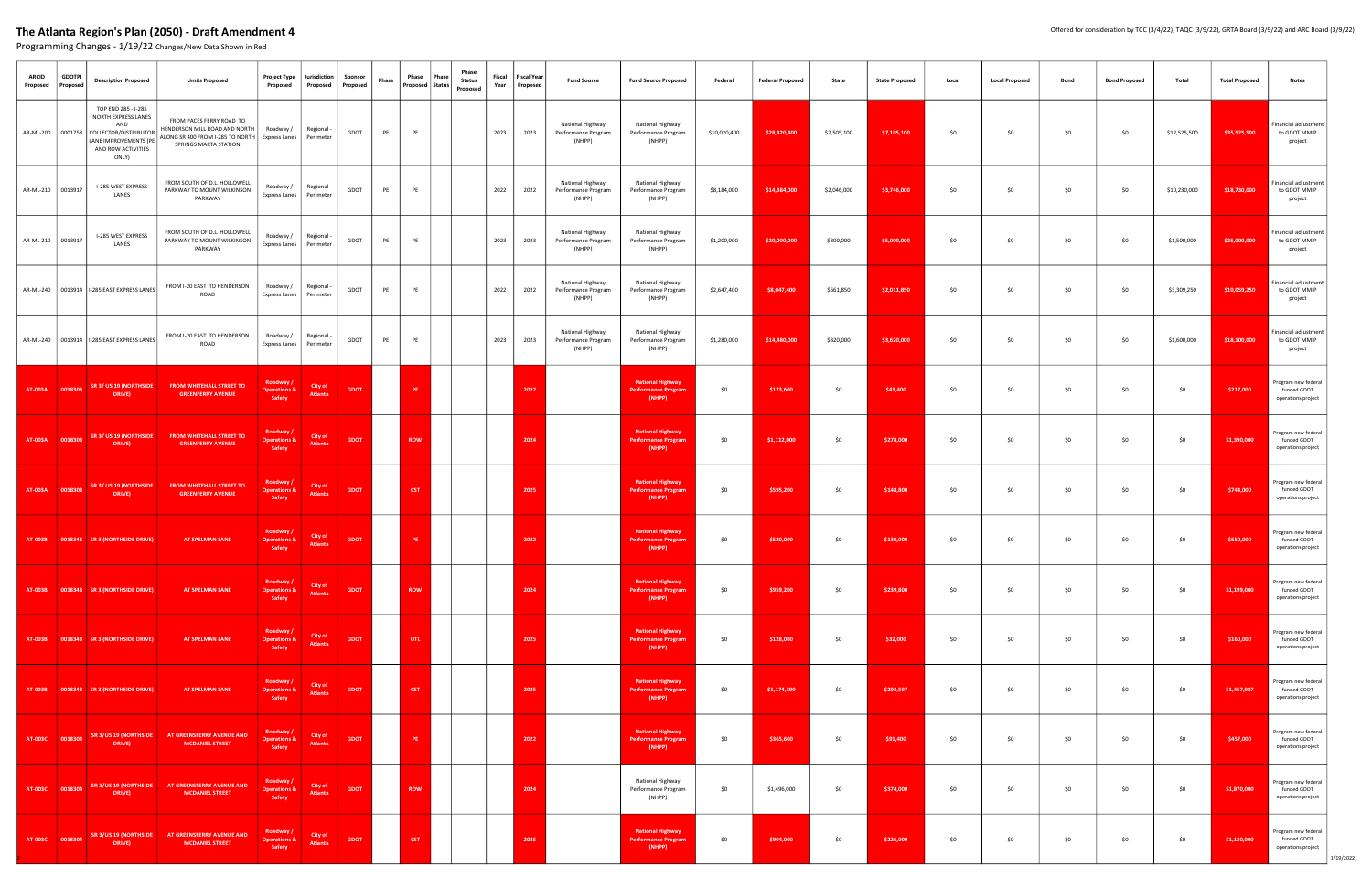| <b>ARCID</b><br>Proposed | <b>GDOTPI</b><br>Proposec | <b>Description Proposed</b>                                                                                                                                | <b>Limits Proposed</b>                                                                                                 | <b>Project Type</b><br>Proposed                | Jurisdiction<br>Proposed  | Sponsor<br>Proposed | Phase | Phase<br>Proposed   Status | Phase<br>Phase<br><b>Status</b><br>Proposed | Fiscal<br><b>Fiscal Year</b><br>Year  <br>Proposed | <b>Fund Source</b>                                | <b>Fund Source Proposed</b>                                     | Federal      | <b>Federal Proposed</b> | State       | <b>State Proposed</b> | Local | <b>Local Proposed</b> | Bond | <b>Bond Proposed</b> | Total        | <b>Total Proposed</b> | <b>Notes</b>                                                          |
|--------------------------|---------------------------|------------------------------------------------------------------------------------------------------------------------------------------------------------|------------------------------------------------------------------------------------------------------------------------|------------------------------------------------|---------------------------|---------------------|-------|----------------------------|---------------------------------------------|----------------------------------------------------|---------------------------------------------------|-----------------------------------------------------------------|--------------|-------------------------|-------------|-----------------------|-------|-----------------------|------|----------------------|--------------|-----------------------|-----------------------------------------------------------------------|
|                          |                           | TOP END 285 - I-285<br>NORTH EXPRESS LANES<br>AND<br>AR-ML-200   0001758   COLLECTOR/DISTRIBUTOR  <br>LANE IMPROVEMENTS (PE<br>AND ROW ACTIVITIES<br>ONLY) | FROM PACES FERRY ROAD TO<br>HENDERSON MILL ROAD AND NORTH<br>ALONG SR 400 FROM I-285 TO NORTH<br>SPRINGS MARTA STATION | Roadway /<br>Express Lanes                     | Regional -<br>Perimeter   | GDOT                | PE    | PE                         |                                             | 2023<br>2023                                       | National Highway<br>Performance Program<br>(NHPP) | National Highway<br>Performance Program<br>(NHPP)               | \$10,020,400 | \$28,420,400            | \$2,505,100 | \$7,105,100           | \$0   | \$0                   | \$0  | \$0                  | \$12,525,500 | \$35,525,500          | inancial adjustment<br>to GDOT MMIP<br>project                        |
| AR-ML-210 0013917        |                           | I-285 WEST EXPRESS<br>LANES                                                                                                                                | FROM SOUTH OF D.L. HOLLOWELL<br>PARKWAY TO MOUNT WILKINSON<br>PARKWAY                                                  | Roadway /<br>Express Lanes                     | Regional -<br>Perimeter   | GDOT                | PE    | PE                         |                                             | 2022<br>2022                                       | National Highway<br>Performance Program<br>(NHPP) | National Highway<br>Performance Program<br>(NHPP)               | \$8,184,000  | \$14,984,000            | \$2,046,000 | \$3,746,000           | \$0   | \$0                   | \$0  | \$0                  | \$10,230,000 | \$18,730,000          | inancial adjustment<br>to GDOT MMIP<br>project                        |
| AR-ML-210 0013917        |                           | I-285 WEST EXPRESS<br>LANES                                                                                                                                | FROM SOUTH OF D.L. HOLLOWELL<br>PARKWAY TO MOUNT WILKINSON<br>PARKWAY                                                  | Roadway /<br>Express Lanes                     | Regional -<br>Perimeter   | GDOT                | PE    | PE                         |                                             | 2023<br>2023                                       | National Highway<br>Performance Program<br>(NHPP) | National Highway<br>Performance Program<br>(NHPP)               | \$1,200,000  | \$20,000,000            | \$300,000   | \$5,000,000           | \$0   | \$0                   | \$0  | \$0                  | \$1,500,000  | \$25,000,000          | inancial adjustment<br>to GDOT MMIP<br>project                        |
|                          |                           | AR-ML-240   0013914   I-285 EAST EXPRESS LANES                                                                                                             | FROM I-20 EAST TO HENDERSON<br>ROAD                                                                                    | Roadway /<br>Express Lanes                     | Regional -<br>Perimeter   | GDOT                | PE    | PE                         |                                             | 2022<br>2022                                       | National Highway<br>Performance Program<br>(NHPP) | National Highway<br>Performance Program<br>(NHPP)               | \$2,647,400  | \$8,047,400             | \$661,850   | \$2,011,850           | \$0   | \$0                   | \$0  | \$0                  | \$3,309,250  | \$10,059,250          | inancial adjustment<br>to GDOT MMIP<br>project                        |
|                          |                           | AR-ML-240 0013914 1-285 EAST EXPRESS LANES                                                                                                                 | FROM I-20 EAST TO HENDERSON<br>ROAD                                                                                    | Roadway /<br>Express Lanes                     | Regional -<br>Perimeter   | GDOT                | PE    | PE                         |                                             | 2023<br>2023                                       | National Highway<br>Performance Program<br>(NHPP) | National Highway<br>Performance Program<br>(NHPP)               | \$1,280,000  | \$14,480,000            | \$320,000   | \$3,620,000           | \$0   | \$0                   | \$0  | \$0                  | \$1,600,000  | \$18,100,000          | inancial adjustment<br>to GDOT MMIP<br>project                        |
|                          |                           | AT-003A 0018303 SR 3/ US 19 (NORTHSIDE<br>DRIVE)                                                                                                           | <b>FROM WHITEHALL STREET TO</b><br><b>GREENFERRY AVENUE</b>                                                            | Roadway /<br><b>Operations &amp;</b><br>Safety | City of<br>Atlanta        | <b>GDOT</b>         |       | PE.                        |                                             | 2022                                               |                                                   | <b>National Highway</b><br><b>Performance Program</b><br>(NHPP) | \$0          | \$173,600               | \$0         | \$43,400              | \$0   | \$0                   | \$0  | \$0                  | \$0          | \$217,000             | Program new federal<br>funded GDOT<br>operations project              |
| AT-003A 0018303          |                           | SR 3/ US 19 (NORTHSIDE<br>DRIVE)                                                                                                                           | <b>FROM WHITEHALL STREET TO</b><br><b>GREENFERRY AVENUE</b>                                                            | Roadway /<br><b>Operations &amp;</b><br>Safety | City of<br>Atlanta        | <b>GDOT</b>         |       | <b>ROW</b>                 |                                             | 2024                                               |                                                   | <b>National Highway</b><br><b>Performance Program</b><br>(NHPP) | \$0          | \$1,112,000             | \$0         | \$278,000             | \$0   | \$0                   | \$0  | \$0                  | \$0          | \$1,390,000           | Program new federal<br>funded GDOT<br>operations project              |
|                          | AT-003A 0018303           | SR 3/ US 19 (NORTHSIDE<br>DRIVE)                                                                                                                           | <b>FROM WHITEHALL STREET TO</b><br><b>GREENFERRY AVENUE</b>                                                            | Roadway /<br><b>Operations &amp;</b><br>Safety | City of<br>Atlanta        | <b>GDOT</b>         |       | <b>CST</b>                 |                                             | 2025                                               |                                                   | <b>National Highway</b><br><b>Performance Program</b><br>(NHPP) | \$0          | \$595,200               | \$0         | \$148,800             | \$0   | \$0                   | \$0  | \$0                  | \$0          | \$744,000             | Program new federal<br>funded GDOT<br>operations project              |
|                          |                           | AT-003B 0018343 SR 3 (NORTHSIDE DRIVE)                                                                                                                     | AT SPELMAN LANE                                                                                                        | Roadway /<br><b>Operations &amp;</b><br>Safety | City of<br>Atlanta        | <b>GDOT</b>         |       | PE.                        |                                             | 2022                                               |                                                   | <b>National Highway</b><br><b>Performance Program</b><br>(NHPP) | \$0          | \$520,000               | \$0         | \$130,000             | \$0   | \$0                   | \$0  | \$0                  | \$0          | \$650,000             | Program new federal<br>funded GDOT<br>operations project              |
|                          |                           | AT-003B 0018343 SR 3 (NORTHSIDE DRIVE)                                                                                                                     | AT SPELMAN LANE                                                                                                        | Roadway /<br><b>Operations &amp;</b><br>Safety | City of<br>Atlanta        | <b>GDOT</b>         |       | <b>ROW</b>                 |                                             | 2024                                               |                                                   | <b>National Highway</b><br><b>Performance Program</b><br>(NHPP) | \$0          | \$959,200               | \$0         | \$239,800             | \$0   | \$0                   | \$0  | \$0                  | \$0          | \$1,199,000           | Program new federal<br>funded GDOT<br>operations project              |
|                          |                           | AT-003B 0018343 SR 3 (NORTHSIDE DRIVE)                                                                                                                     | AT SPELMAN LANE                                                                                                        | Roadway /<br><b>Operations &amp;</b><br>Safety | <b>City of</b><br>Atlanta | <b>GDOT</b>         |       | UTL.                       |                                             | 2025                                               |                                                   | <b>National Highway</b><br><b>Performance Program</b><br>(NHPP) | \$0          | \$128,000               | \$0         | \$32,000              | \$0   | \$0                   | \$0  | \$0                  | \$0          | \$160,000             | Program new federal<br>funded GDOT<br>operations project              |
|                          |                           | AT-003B 0018343 SR 3 (NORTHSIDE DRIVE)                                                                                                                     | AT SPELMAN LANE                                                                                                        | Roadway /<br><b>Operations &amp;</b><br>Safety | City of<br>Atlanta        | <b>GDOT</b>         |       | <b>CST</b>                 |                                             | 2025                                               |                                                   | <b>National Highway</b><br><b>Performance Program</b><br>(NHPP) | \$0          | \$1,174,390             | \$0         | \$293,597             | \$0   | \$0                   | \$0  | \$0                  | \$0          | \$1,467,987           | Program new federal<br>funded GDOT<br>operations project              |
| AT-003C 0018304          |                           | SR 3/US 19 (NORTHSIDE<br>DRIVE)                                                                                                                            | AT GREENSFERRY AVENUE AND<br><b>MCDANIEL STREET</b>                                                                    | Roadway /<br><b>Operations &amp;</b><br>Safety | City of<br>Atlanta        | <b>GDOT</b>         |       | PE                         |                                             | 2022                                               |                                                   | <b>National Highway</b><br><b>Performance Program</b><br>(NHPP) | \$0          | \$365,600               | \$0         | \$91,400              | \$0   | \$0                   | \$0  | \$0                  | \$0          | \$457,000             | Program new federal<br>funded GDOT<br>operations project              |
| AT-003C 0018304          |                           | DRIVE)                                                                                                                                                     | SR 3/US 19 (NORTHSIDE   AT GREENSFERRY AVENUE AND<br><b>MCDANIEL STREET</b>                                            | Roadway /<br><b>Operations &amp;</b><br>Safety | City of<br>Atlanta        | <b>GDOT</b>         |       | <b>ROW</b>                 |                                             | 2024                                               |                                                   | National Highway<br>Performance Program<br>(NHPP)               | \$0          | \$1,496,000             | \$0         | \$374,000             | \$0   | \$0                   | \$0  | \$0                  | \$0          | \$1,870,000           | Program new federal<br>funded GDOT<br>operations project              |
|                          | AT-003C 0018304           | SR 3/US 19 (NORTHSIDE<br>DRIVE)                                                                                                                            | AT GREENSFERRY AVENUE AND<br><b>MCDANIEL STREET</b>                                                                    | Roadway /<br><b>Operations &amp;</b><br>Safety | City of<br>Atlanta        | <b>GDOT</b>         |       | <b>CST</b>                 |                                             | 2025                                               |                                                   | <b>National Highway</b><br><b>Performance Program</b><br>(NHPP) | \$0          | \$904,000               | \$0         | \$226,000             | \$0   | \$0                   | \$0  | \$0                  | \$0          | \$1,130,000           | Program new federal<br>funded GDOT<br>operations project<br>1/19/2022 |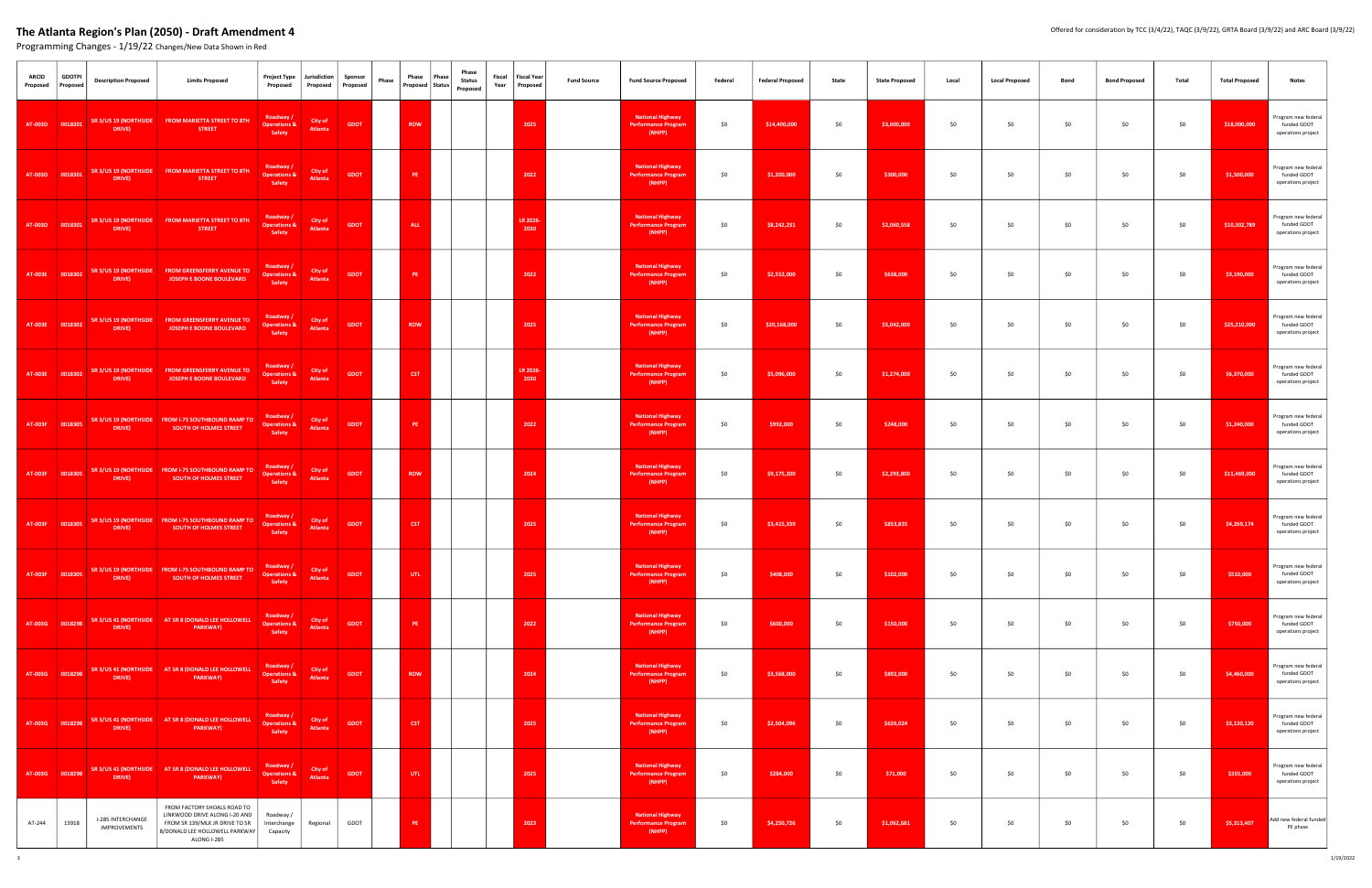| <b>ARCID</b><br>Proposed | <b>GDOTPI</b><br>Proposed | <b>Description Proposed</b>                           | <b>Limits Proposed</b>                                                                                                                          | <b>Project Type</b><br>Proposed                | Jurisdiction<br>Proposed | Sponsor<br>Proposed | Phase | Phase      | Phase<br>Proposed Status | Phase<br><b>Status</b><br>Proposed | Fiscal | <b>Fiscal Year</b><br>Year Proposed | <b>Fund Source</b> | <b>Fund Source Proposed</b>                                     | Federal | <b>Federal Proposed</b> | State | <b>State Proposed</b> | Local | <b>Local Proposed</b> | Bond | <b>Bond Proposed</b> | Total | <b>Total Proposed</b> | <b>Notes</b>                                             |
|--------------------------|---------------------------|-------------------------------------------------------|-------------------------------------------------------------------------------------------------------------------------------------------------|------------------------------------------------|--------------------------|---------------------|-------|------------|--------------------------|------------------------------------|--------|-------------------------------------|--------------------|-----------------------------------------------------------------|---------|-------------------------|-------|-----------------------|-------|-----------------------|------|----------------------|-------|-----------------------|----------------------------------------------------------|
|                          | AT-003D 0018301           | DRIVE)                                                | SR 3/US 19 (NORTHSIDE FROM MARIETTA STREET TO 8TH<br><b>STREET</b>                                                                              | Roadway /<br><b>Operations &amp;</b><br>Safety | City of<br>Atlanta       | GDOT                |       | <b>ROW</b> |                          |                                    |        | 2025                                |                    | <b>National Highway</b><br>Performance Program<br>(NHPP)        | \$0     | \$14,400,000            | \$0   | \$3,600,000           | \$0   | \$0                   | \$0  | \$0                  | \$0   | \$18,000,000          | Program new federal<br>funded GDOT<br>operations project |
|                          | AT-003D 0018301           | SR 3/US 19 (NORTHSIDE<br>DRIVE)                       | FROM MARIETTA STREET TO 8TH<br><b>STREET</b>                                                                                                    | Roadway /<br><b>Operations &amp;</b><br>Safety | City of<br>Atlanta       | <b>GDOT</b>         |       | PE.        |                          |                                    |        | 2022                                |                    | <b>National Highway</b><br>Performance Program<br>(NHPP)        | \$0     | \$1,200,000             | \$0   | \$300,000             | \$0   | \$0                   | \$0  | \$0                  | \$0   | \$1,500,000           | Program new federal<br>funded GDOT<br>operations project |
|                          | AT-003D 0018301           | DRIVE)                                                | SR 3/US 19 (NORTHSIDE FROM MARIETTA STREET TO 8TH<br><b>STREET</b>                                                                              | Roadway /<br><b>Operations &amp;</b><br>Safety | City of<br>Atlanta       | <b>GDOT</b>         |       | <b>ALL</b> |                          |                                    |        | LR 2026-<br>2030                    |                    | <b>National Highway</b><br>Performance Program<br>(NHPP)        | \$0     | \$8,242,231             | \$0   | \$2,060,558           | \$0   | \$0                   | \$0  | \$0                  | \$0   | \$10,302,789          | Program new federal<br>funded GDOT<br>operations project |
|                          | AT-003E 0018302           | SR 3/US 19 (NORTHSIDE<br>DRIVE)                       | FROM GREENSFERRY AVENUE TO<br>JOSEPH E BOONE BOULEVARD                                                                                          | Roadway /<br><b>Operations &amp;</b><br>Safety | City of<br>Atlanta       | <b>GDOT</b>         |       | PE         |                          |                                    |        | 2022                                |                    | <b>National Highway</b><br><b>Performance Program</b><br>(NHPP) | \$0     | \$2,552,000             | \$0   | \$638,000             | \$0   | \$0                   | \$0  | \$0                  | \$0   | \$3,190,000           | Program new federal<br>funded GDOT<br>operations project |
|                          |                           | AT-003E   0018302   SR 3/US   19 (NORTHSIDE<br>DRIVE) | <b>FROM GREENSFERRY AVENUE TO</b><br>JOSEPH E BOONE BOULEVARD                                                                                   | Roadway /<br><b>Operations &amp;</b><br>Safety | City of<br>Atlanta       | <b>GDOT</b>         |       | <b>ROW</b> |                          |                                    |        | 2025                                |                    | <b>National Highway</b><br><b>Performance Program</b><br>(NHPP) | \$0     | \$20,168,000            | \$0   | \$5,042,000           | \$0   | \$0                   | \$0  | \$0                  | \$0   | \$25,210,000          | Program new federal<br>funded GDOT<br>operations project |
|                          | AT-003E 0018302           | DRIVE)                                                | SR 3/US 19 (NORTHSIDE FROM GREENSFERRY AVENUE TO<br>JOSEPH E BOONE BOULEVARD                                                                    | Roadway /<br><b>Operations &amp;</b><br>Safety | City of<br>Atlanta       | <b>GDOT</b>         |       | <b>CST</b> |                          |                                    |        | LR 2026-<br>2030                    |                    | <b>National Highway</b><br><b>Performance Program</b><br>(NHPP) | \$0     | \$5,096,000             | \$0   | \$1,274,000           | \$0   | \$0                   | \$0  | \$0                  | \$0   | \$6,370,000           | Program new federal<br>funded GDOT<br>operations project |
|                          | AT-003F 0018305           | DRIVE)                                                | SR 3/US 19 (NORTHSIDE FROM I-75 SOUTHBOUND RAMP TO<br><b>SOUTH OF HOLMES STREET</b>                                                             | Roadway /<br><b>Operations &amp;</b><br>Safety | City of<br>Atlanta       | <b>GDOT</b>         |       | PE.        |                          |                                    |        | 2022                                |                    | <b>National Highway</b><br>Performance Program<br>(NHPP)        | \$0     | \$992,000               | \$0   | \$248,000             | \$0   | \$0                   | \$0  | \$0                  | \$0   | \$1,240,000           | Program new federal<br>funded GDOT<br>operations project |
|                          | AT-003F 0018305           | DRIVE)                                                | SR 3/US 19 (NORTHSIDE FROM I-75 SOUTHBOUND RAMP TO<br><b>SOUTH OF HOLMES STREET</b>                                                             | Roadway /<br><b>Operations &amp;</b><br>Safety | City of<br>Atlanta       | <b>GDOT</b>         |       | <b>ROW</b> |                          |                                    |        | 2024                                |                    | <b>National Highway</b><br><b>Performance Program</b><br>(NHPP) | \$0     | \$9,175,200             | \$0   | \$2,293,800           | \$0   | \$0                   | \$0  | \$0                  | \$0   | \$11,469,000          | Program new federal<br>funded GDOT<br>operations project |
|                          | AT-003F 0018305           | DRIVE)                                                | SR 3/US 19 (NORTHSIDE FROM I-75 SOUTHBOUND RAMP TO<br><b>SOUTH OF HOLMES STREET</b>                                                             | Roadway /<br><b>Operations &amp;</b><br>Safety | City of<br>Atlanta       | <b>GDOT</b>         |       | CST        |                          |                                    |        | 2025                                |                    | <b>National Highway</b><br>Performance Program<br>(NHPP)        | \$0     | \$3,415,339             | \$0   | \$853,835             | \$0   | \$0                   | \$0  | \$0                  | \$0   | \$4,269,174           | Program new federal<br>funded GDOT<br>operations project |
|                          | AT-003F 0018305           | DRIVE)                                                | SR 3/US 19 (NORTHSIDE FROM I-75 SOUTHBOUND RAMP TO<br>SOUTH OF HOLMES STREET                                                                    | Roadway /<br><b>Operations &amp;</b><br>Safety | City of<br>Atlanta       | <b>GDOT</b>         |       | UTL.       |                          |                                    |        | 2025                                |                    | <b>National Highway</b><br><b>Performance Program</b><br>(NHPP) | \$0     | \$408,000               | \$0   | \$102,000             | \$0   | \$0                   | \$0  | \$0                  | \$0   | \$510,000             | Program new federal<br>funded GDOT<br>operations project |
|                          | AT-003G 0018298           | DRIVE)                                                | SR 3/US 41 (NORTHSIDE   AT SR 8 (DONALD LEE HOLLOWELL<br>PARKWAY)                                                                               | Roadway /<br><b>Operations &amp;</b><br>Safety | City of<br>Atlanta       | <b>GDOT</b>         |       | PE         |                          |                                    |        | 2022                                |                    | <b>National Highway</b><br><b>Performance Progran</b><br>(NHPP) | \$0     | \$600,000               | \$0   | \$150,000             | \$0   | \$0                   | \$0  | \$0                  | \$0   | \$750,000             | Program new federal<br>funded GDOT<br>operations project |
|                          | AT-003G 0018298           | DRIVE)                                                | SR 3/US 41 (NORTHSIDE   AT SR 8 (DONALD LEE HOLLOWELL<br><b>PARKWAY</b> )                                                                       | Roadway /<br><b>Operations &amp;</b><br>Safety | City of<br>Atlanta       | <b>GDOT</b>         |       | <b>ROW</b> |                          |                                    |        | 2024                                |                    | <b>National Highway</b><br><b>Performance Program</b><br>(NHPP) | \$0     | \$3,568,000             | \$0   | \$892,000             | \$0   | \$0                   | \$0  | \$0                  | \$0   | \$4,460,000           | Program new federal<br>funded GDOT<br>operations project |
|                          | AT-003G 0018298           | DRIVE)                                                | SR 3/US 41 (NORTHSIDE AT SR 8 (DONALD LEE HOLLOWELL<br>PARKWAY)                                                                                 | Roadway /<br><b>Operations &amp;</b><br>Safety | City of<br>Atlanta       | <b>GDOT</b>         |       | <b>CST</b> |                          |                                    |        | 2025                                |                    | <b>National Highway</b><br><b>Performance Program</b><br>(NHPP) | \$0     | \$2,504,096             | \$0   | \$626,024             | \$0   | \$0                   | \$0  | \$0                  | \$0   | \$3,130,120           | Program new federal<br>funded GDOT<br>operations project |
|                          | AT-003G 0018298           | DRIVE)                                                | SR 3/US 41 (NORTHSIDE AT SR 8 (DONALD LEE HOLLOWELL<br>PARKWAY)                                                                                 | Roadway /<br><b>Operations &amp;</b><br>Safety | City of<br>Atlanta       | <b>GDOT</b>         |       | UTL .      |                          |                                    |        | 2025                                |                    | <b>National Highway</b><br>Performance Program<br>(NHPP)        | \$0     | \$284,000               | \$0   | \$71,000              | \$0   | \$0                   | \$0  | \$0                  | \$0   | \$355,000             | Program new federal<br>funded GDOT<br>operations project |
| AT-244                   | 13918                     | I-285 INTERCHANGE<br><b>IMPROVEMENTS</b>              | FROM FACTORY SHOALS ROAD TO<br>LINKWOOD DRIVE ALONG I-20 AND<br>FROM SR 139/MLK JR DRIVE TO SR<br>8/DONALD LEE HOLLOWELL PARKWAY<br>ALONG I-285 | Roadway /<br>Interchange<br>Capacity           | Regional                 | GDOT                |       | PE.        |                          |                                    |        | 2023                                |                    | <b>National Highway</b><br><b>Performance Program</b><br>(NHPP) | \$0     | \$4,250,726             | \$0   | \$1,062,681           | \$0   | \$0                   | \$0  | \$0                  | \$0   | \$5,313,407           | Add new federal funded<br>PE phase                       |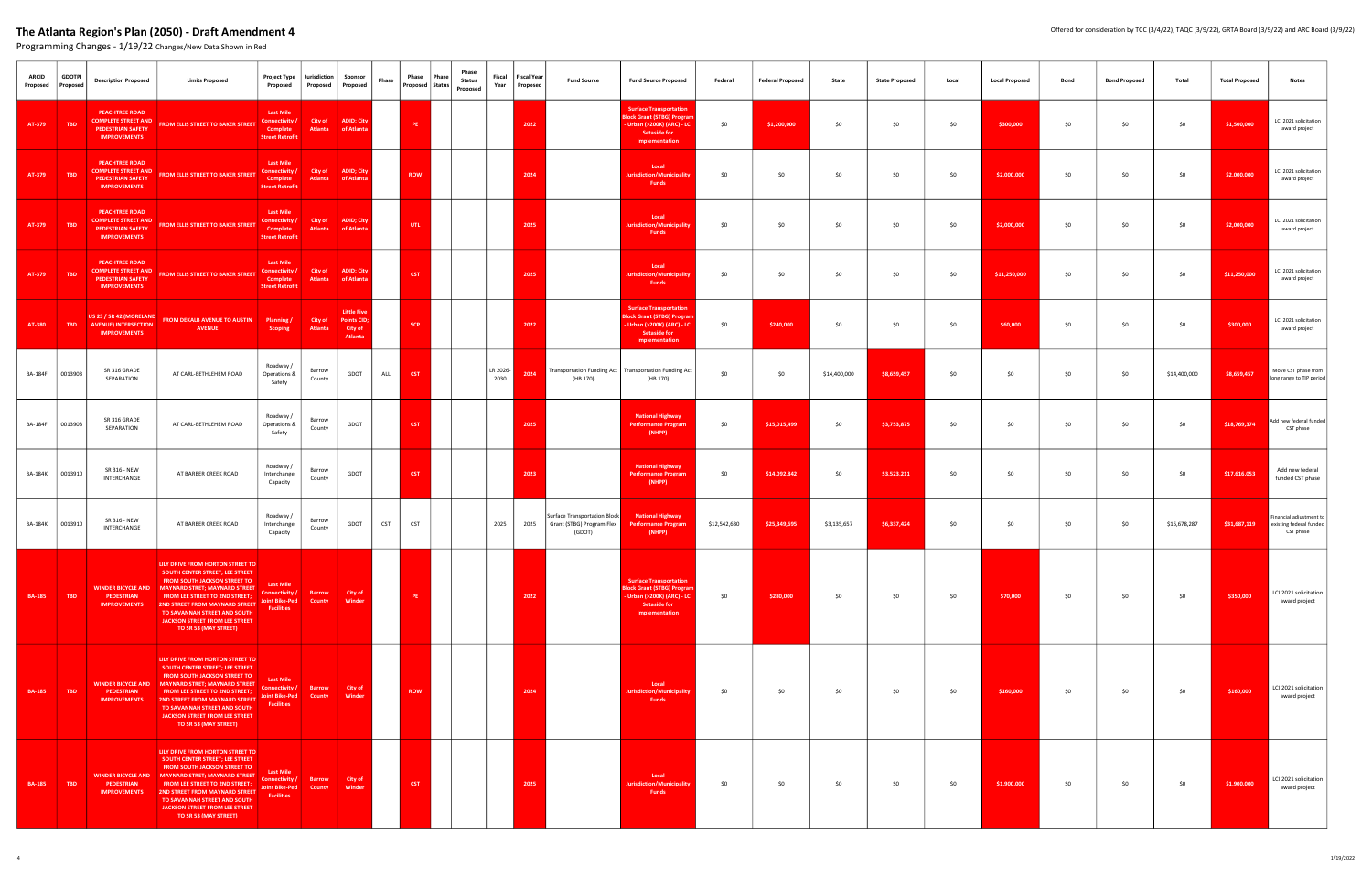| <b>ARCID</b><br>Proposed | <b>GDOTPI</b><br>Proposed | <b>Description Proposed</b>                                                                            | Project Type<br><b>Limits Proposed</b><br>Proposed                                                                                                                                                                                                                                                                                                                                                                              | Jurisdiction<br>Proposed       | Sponsor<br>Proposed                                            | Phase      | Phase<br>Proposed   Status | Phase<br>Phase<br><b>Status</b><br>Proposed | Fiscal<br>Year   | <b>Fiscal Year</b><br>Proposed | <b>Fund Source</b>                                                  | <b>Fund Source Proposed</b>                                                                                                         | Federal      | <b>Federal Proposed</b> | State        | <b>State Proposed</b> | Local | <b>Local Proposed</b> | Bond | <b>Bond Proposed</b> | Total        | <b>Total Proposed</b> | <b>Notes</b>                                                    |
|--------------------------|---------------------------|--------------------------------------------------------------------------------------------------------|---------------------------------------------------------------------------------------------------------------------------------------------------------------------------------------------------------------------------------------------------------------------------------------------------------------------------------------------------------------------------------------------------------------------------------|--------------------------------|----------------------------------------------------------------|------------|----------------------------|---------------------------------------------|------------------|--------------------------------|---------------------------------------------------------------------|-------------------------------------------------------------------------------------------------------------------------------------|--------------|-------------------------|--------------|-----------------------|-------|-----------------------|------|----------------------|--------------|-----------------------|-----------------------------------------------------------------|
| AT-379                   | <b>TBD</b>                | <b>PEACHTREE ROAD</b><br><b>COMPLETE STREET AND</b><br><b>PEDESTRIAN SAFETY</b><br><b>IMPROVEMENTS</b> | <b>Last Mile</b><br>Connectivity /<br><b>FROM ELLIS STREET TO BAKER STREET</b><br>Complete<br><b>Street Retrofit</b>                                                                                                                                                                                                                                                                                                            | City of<br><b>Atlanta</b>      | ADID; City<br>of Atlanta                                       |            | PE                         |                                             |                  | 2022                           |                                                                     | <b>Surface Transportation</b><br><b>Block Grant (STBG) Progra</b><br>Urban (>200K) (ARC) - LCI<br>Setaside for<br>Implementation    | \$0          | \$1,200,000             | \$0          | \$0                   | \$0   | \$300,000             | \$0  | \$0                  | \$0          | \$1,500,000           | LCI 2021 solicitation<br>award project                          |
| AT-379                   | <b>TBD</b>                | <b>PEACHTREE ROAD</b><br><b>COMPLETE STREET AND</b><br>PEDESTRIAN SAFETY<br><b>IMPROVEMENTS</b>        | <b>Last Mile</b><br>Connectivity /<br><b>FROM ELLIS STREET TO BAKER STREET</b><br>Complete<br><b>Street Retrofit</b>                                                                                                                                                                                                                                                                                                            | City of<br>Atlanta             | <b>ADID; City</b><br>of Atlanta                                |            | <b>ROW</b>                 |                                             |                  | 2024                           |                                                                     | Local<br><b>Jurisdiction/Municipality</b><br><b>Funds</b>                                                                           | \$0          | \$0                     | \$0          | \$0                   | \$0   | \$2,000,000           | \$0  | \$0                  | \$0          | \$2,000,000           | LCI 2021 solicitation<br>award project                          |
| AT-379                   | <b>TBD</b>                | <b>PEACHTREE ROAD</b><br><b>COMPLETE STREET AND</b><br>PEDESTRIAN SAFETY<br><b>IMPROVEMENTS</b>        | <b>Last Mile</b><br>Connectivity / City of<br><b>FROM ELLIS STREET TO BAKER STREET</b><br>Complete<br><b>Street Retrofit</b>                                                                                                                                                                                                                                                                                                    | Atlanta                        | <b>ADID; City</b><br>of Atlanta                                |            | UTL                        |                                             |                  | 2025                           |                                                                     | Local<br><b>Jurisdiction/Municipality</b><br><b>Funds</b>                                                                           | \$0          | \$0                     | \$0          | \$0                   | \$0   | \$2,000,000           | \$0  | \$0                  | \$0          | \$2,000,000           | LCI 2021 solicitation<br>award project                          |
| AT-379                   | <b>TBD</b>                | <b>PEACHTREE ROAD</b><br><b>COMPLETE STREET AND</b><br><b>PEDESTRIAN SAFETY</b><br><b>IMPROVEMENTS</b> | <b>Last Mile</b><br>Connectivity /<br><b>FROM ELLIS STREET TO BAKER STREET</b><br>Complete<br><b>Street Retrofit</b>                                                                                                                                                                                                                                                                                                            | City of<br><b>Atlanta</b>      | <b>ADID; City</b><br>of Atlanta                                |            | <b>CST</b>                 |                                             |                  | 2025                           |                                                                     | Local<br>Juris diction / Municipalit<br>Funds                                                                                       | 50           | \$0                     | \$0          | \$0                   | \$0   | \$11,250,000          | \$0  | \$0                  | \$0          | \$11,250,000          | LCI 2021 solicitation<br>award project                          |
| AT-380                   | TBD -                     | US 23 / SR 42 (MORELAND<br><b>AVENUE) INTERSECTION</b><br><b>IMPROVEMENTS</b>                          | FROM DEKALB AVENUE TO AUSTIN Planning /<br><b>AVENUE</b><br>Scoping                                                                                                                                                                                                                                                                                                                                                             | City of<br><b>Atlanta</b>      | <b>Little Five</b><br><b>Points CID;</b><br>City of<br>Atlanta |            | <b>SCP</b>                 |                                             |                  | 2022                           |                                                                     | <b>Surface Transportation</b><br>Block Grant (STBG) Progra<br>- Urban (>200K) (ARC) - LCI<br>Setaside for<br>Implementation         | \$0          | \$240,000               | \$0          | \$0                   | \$0   | \$60,000              | \$0  | \$0                  | \$0          | \$300,000             | LCI 2021 solicitation<br>award project                          |
| <b>BA-184F</b>           | 0013903                   | SR 316 GRADE<br>SEPARATION                                                                             | Roadway /<br>AT CARL-BETHLEHEM ROAD<br>Operations &<br>Safety                                                                                                                                                                                                                                                                                                                                                                   | Barrow<br>County               | GDOT                                                           | ALL        | <b>CST</b>                 |                                             | LR 2026-<br>2030 | 2024                           | (HB 170)                                                            | Transportation Funding Act   Transportation Funding Act<br>(HB 170)                                                                 | \$0          | \$0                     | \$14,400,000 | \$8,659,457           | \$0   | \$0                   | \$0  | \$0                  | \$14,400,000 | \$8,659,457           | Move CST phase from<br>long range to TIP period                 |
| <b>BA-184F</b>           | 0013903                   | SR 316 GRADE<br>SEPARATION                                                                             | Roadway /<br>AT CARL-BETHLEHEM ROAD<br>Operations &<br>Safety                                                                                                                                                                                                                                                                                                                                                                   | Barrow<br>County               | GDOT                                                           |            | <b>CST</b>                 |                                             |                  | 2025                           |                                                                     | <b>National Highway</b><br><b>Performance Progran</b><br>(NHPP)                                                                     | \$0          | \$15,015,499            | \$0          | \$3,753,875           | \$0   | \$0                   | \$0  | \$0                  | \$0          | \$18,769,374          | Add new federal funded<br>CST phase                             |
| BA-184K 0013910          |                           | SR 316 - NEW<br>INTERCHANGE                                                                            | Roadway /<br>AT BARBER CREEK ROAD<br>Interchange<br>Capacity                                                                                                                                                                                                                                                                                                                                                                    | Barrow<br>County               | GDOT                                                           |            | <b>CST</b>                 |                                             |                  | 2023                           |                                                                     | <b>National Highway</b><br><b>Performance Program</b><br>(NHPP)                                                                     | \$0          | \$14,092,842            | \$0          | \$3,523,211           | \$0   | \$0                   | \$0  | \$0                  | \$0          | \$17,616,053          | Add new federal<br>funded CST phase                             |
|                          | BA-184K   0013910         | SR 316 - NEW<br>INTERCHANGE                                                                            | Roadway /<br>AT BARBER CREEK ROAD<br>Interchange<br>Capacity                                                                                                                                                                                                                                                                                                                                                                    | Barrow<br>County               | GDOT                                                           | <b>CST</b> | <b>CST</b>                 |                                             | 2025             | 2025                           | Surface Transportation Block<br>Grant (STBG) Program Flex<br>(GDOT) | <b>National Highway</b><br><b>Performance Program</b><br>(NHPP)                                                                     | \$12,542,630 | \$25,349,695            | \$3,135,657  | \$6,337,424           | \$0   | \$0                   | \$0  | \$0                  | \$15,678,287 | \$31,687,119          | Financial adjustment to<br>existing federal funded<br>CST phase |
| <b>BA-185</b>            | TBD                       | PEDESTRIAN<br><b>IMPROVEMENTS</b>                                                                      | LILY DRIVE FROM HORTON STREET TO<br>SOUTH CENTER STREET; LEE STREET<br>FROM SOUTH JACKSON STREET TO<br><b>Last Mile</b><br>WINDER BICYCLE AND MAYNARD STRET; MAYNARD STREET<br>Connectivity /<br><b>FROM LEE STREET TO 2ND STREET;</b><br><b>Joint Bike-Ped</b><br>2ND STREET FROM MAYNARD STREET<br><b>Facilities</b><br>TO SAVANNAH STREET AND SOUTH<br>JACKSON STREET FROM LEE STREET<br>TO SR 53 (MAY STREET)               | <b>Barrow</b><br>County        | City of<br>Winder                                              |            | PE :                       |                                             |                  | 2022                           |                                                                     | <b>Surface Transportation</b><br><b>Block Grant (STBG) Progran</b><br>- Urban (>200K) (ARC) - LCI<br>Setaside for<br>Implementation | \$0          | \$280,000               | \$0          | \$0                   | \$0   | \$70,000              | \$0  | \$0                  | \$0          | \$350,000             | LCI 2021 solicitation<br>award project                          |
| <b>BA-185</b>            | <b>TBD</b>                | PEDESTRIAN<br><b>IMPROVEMENTS</b>                                                                      | LILY DRIVE FROM HORTON STREET TO<br><b>SOUTH CENTER STREET; LEE STREET</b><br>FROM SOUTH JACKSON STREET TO<br><b>Last Mile</b><br>WINDER BICYCLE AND MAYNARD STRET; MAYNARD STREET<br>Connectivity /<br><b>FROM LEE STREET TO 2ND STREET;</b><br>2ND STREET FROM MAYNARD STREET Joint Bike-Ped<br><b>Facilities</b><br>TO SAVANNAH STREET AND SOUTH<br>JACKSON STREET FROM LEE STREET<br>TO SR 53 (MAY STREET)                  | <b>Barrow</b><br>County        | City of<br>Winder                                              |            | <b>ROW</b>                 |                                             |                  | 2024                           |                                                                     | Local<br>Jurisdiction/Municipality<br>Funds                                                                                         | \$0          | \$0                     | \$0          | \$0                   | \$0   | \$160,000             | \$0  | \$0                  | \$0          | \$160,000             | LCI 2021 solicitation<br>award project                          |
| <b>BA-185</b>            | <b>TBD</b>                | PEDESTRIAN<br><b>IMPROVEMENTS</b>                                                                      | LILY DRIVE FROM HORTON STREET TO<br><b>SOUTH CENTER STREET; LEE STREET</b><br>FROM SOUTH JACKSON STREET TO<br><b>Last Mile</b><br>WINDER BICYCLE AND MAYNARD STRET; MAYNARD STREET<br>Connectivity /<br><b>FROM LEE STREET TO 2ND STREET;</b><br><b>Joint Bike-Ped</b><br><b>2ND STREET FROM MAYNARD STREET</b><br><b>Facilities</b><br>TO SAVANNAH STREET AND SOUTH<br>JACKSON STREET FROM LEE STREET<br>TO SR 53 (MAY STREET) | <b>Barrow</b><br><b>County</b> | City of<br>Winder                                              |            | <b>CST</b>                 |                                             |                  | 2025                           |                                                                     | Local<br>Jurisdiction/Municipality<br>Funds                                                                                         | \$0          | \$0                     | \$0          | \$0                   | \$0   | \$1,900,000           | \$0  | \$0                  | \$0          | \$1,900,000           | LCI 2021 solicitation<br>award project                          |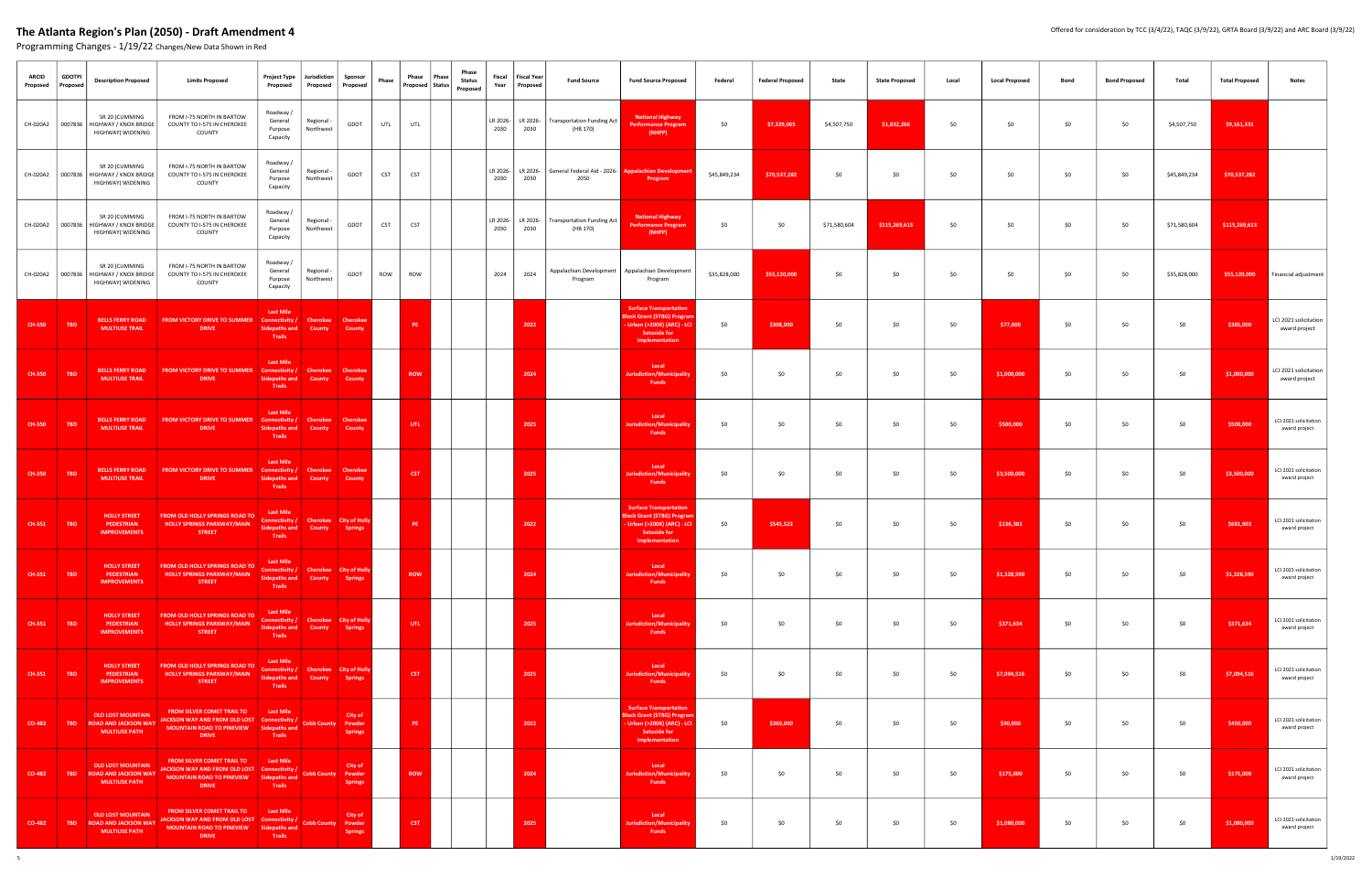| <b>ARCID</b><br>Proposed | <b>GDOTPI</b><br>Proposed | <b>Description Proposed</b>                                                       | <b>Limits Proposed</b>                                                                                                                                    | Project Type<br>Proposed                                                              | Jurisdiction<br>Proposed                | Sponsor<br>Proposed                             | Phase      | Phase<br>Phase<br><b>Phase</b><br><b>Status</b><br>Proposed   Status  <br>Proposed | Fiscal<br>Year   | <b>Fiscal Year</b><br>Proposed | <b>Fund Source</b>                                                  | <b>Fund Source Proposed</b>                                                                                                         | Federal      | <b>Federal Proposed</b> | State        | <b>State Proposed</b> | Local | <b>Local Proposed</b> | Bond | <b>Bond Proposed</b> | Total        | <b>Total Proposed</b> | Notes                                  |
|--------------------------|---------------------------|-----------------------------------------------------------------------------------|-----------------------------------------------------------------------------------------------------------------------------------------------------------|---------------------------------------------------------------------------------------|-----------------------------------------|-------------------------------------------------|------------|------------------------------------------------------------------------------------|------------------|--------------------------------|---------------------------------------------------------------------|-------------------------------------------------------------------------------------------------------------------------------------|--------------|-------------------------|--------------|-----------------------|-------|-----------------------|------|----------------------|--------------|-----------------------|----------------------------------------|
|                          |                           | SR 20 (CUMMING<br>CH-020A2   0007836   HIGHWAY / KNOX BRIDGE<br>HIGHWAY) WIDENING | FROM I-75 NORTH IN BARTOW<br>COUNTY TO I-575 IN CHEROKEE<br>COUNTY                                                                                        | Roadway /<br>General<br>Purpose<br>Capacity                                           | Regional -<br>Northwest                 | GDOT                                            | UTL        | UTL                                                                                | 2030             | LR 2026- LR 2026-<br>2030      | <b>Transportation Funding Act</b><br>(HB 170)                       | <b>National Highway</b><br><b>Performance Progran</b><br>(NHPP)                                                                     | \$0          | \$7,329,065             | \$4,507,750  | \$1,832,266           | \$0   | \$0                   | \$0  | \$0                  | \$4,507,750  | \$9,161,331           |                                        |
|                          |                           | SR 20 (CUMMING<br>CH-020A2 0007836 HIGHWAY / KNOX BRIDGE<br>HIGHWAY) WIDENING     | FROM I-75 NORTH IN BARTOW<br>COUNTY TO I-575 IN CHEROKEE<br>COUNTY                                                                                        | Roadway /<br>General<br>Purpose<br>Capacity                                           | Regional -<br>Northwest                 | GDOT                                            | CST        | <b>CST</b>                                                                         | LR 2026-<br>2030 | 2030                           | LR 2026- General Federal Aid - 2026- Appalachian Developmen<br>2050 | Program                                                                                                                             | \$45,849,234 | \$70,537,282            | \$0          | \$0                   | \$0   | \$0                   | \$0  | \$0                  | \$45,849,234 | \$70,537,282          |                                        |
| CH-020A2                 |                           | SR 20 (CUMMING<br>0007836   HIGHWAY / KNOX BRIDGE<br>HIGHWAY) WIDENING            | FROM I-75 NORTH IN BARTOW<br>COUNTY TO I-575 IN CHEROKEE<br>COUNTY                                                                                        | Roadway /<br>General<br>Purpose<br>Capacity                                           | Regional -<br>Northwest                 | GDOT                                            | <b>CST</b> | <b>CST</b>                                                                         | 2030             | LR 2026- LR 2026-<br>2030      | <b>Transportation Funding Act</b><br>(HB 170)                       | <b>National Highway</b><br><b>Performance Program</b><br>(NHPP)                                                                     | \$0          | \$0                     | \$71,580,604 | \$115,269,613         | \$0   | \$0                   | \$0  | \$0                  | \$71,580,604 | \$115,269,613         |                                        |
|                          |                           | SR 20 (CUMMING<br>CH-020A2   0007836   HIGHWAY / KNOX BRIDGE<br>HIGHWAY) WIDENING | FROM I-75 NORTH IN BARTOW<br>COUNTY TO I-575 IN CHEROKEE<br>COUNTY                                                                                        | Roadway /<br>General<br>Purpose<br>Capacity                                           | Regional -<br>Northwest                 | GDOT                                            | ROW        | ROW                                                                                | 2024             | 2024                           | Appalachian Development<br>Program                                  | Appalachian Development<br>Program                                                                                                  | \$35,828,000 | \$55,120,000            | \$0          | \$0                   | \$0   | \$0                   | \$0  | \$0                  | \$35,828,000 | \$55,120,000          | Financial adjustment                   |
| <b>CH-350</b>            | <b>TBD</b>                | <b>BELLS FERRY ROAD</b><br><b>MULTIUSE TRAIL</b>                                  | <b>FROM VICTORY DRIVE TO SUMMER</b><br><b>DRIVE</b>                                                                                                       | <b>Last Mile</b><br>Connectivity /<br><b>Sidepaths and</b><br>Trails                  | Cherokee<br>County                      | <b>Cherokee</b><br>County                       |            | PE                                                                                 |                  | 2022                           |                                                                     | <b>Surface Transportation</b><br><b>Slock Grant (STBG) Progra</b><br>Urban (>200K) (ARC) - LCI<br>Setaside for<br>Implementation    | \$0          | \$308,000               | \$0          | \$0                   | \$0   | \$77,000              | \$0  | \$0                  | \$0          | \$385,000             | LCI 2021 solicitation<br>award project |
| <b>CH-350</b>            | <b>TBD</b>                | <b>BELLS FERRY ROAD</b><br><b>MULTIUSE TRAIL</b>                                  | <b>FROM VICTORY DRIVE TO SUMMER</b><br><b>DRIVE</b>                                                                                                       | <b>Last Mile</b><br>Connectivity<br><b>Sidepaths and</b><br>Trails                    | Cherokee<br>County                      | Cheroke<br><b>County</b>                        |            | <b>ROW</b>                                                                         |                  | 2024                           |                                                                     | Local<br>Juris diction/Municipalit<br><b>Funds</b>                                                                                  | \$0          | \$0                     | \$0          | \$0                   | \$0   | \$1,000,000           | \$0  | \$0                  | \$0          | \$1,000,000           | LCI 2021 solicitation<br>award project |
| <b>CH-350</b>            | <b>TBD</b>                | <b>BELLS FERRY ROAD</b><br><b>MULTIUSE TRAIL</b>                                  | <b>FROM VICTORY DRIVE TO SUMMER</b><br><b>DRIVE</b>                                                                                                       | <b>Last Mile</b><br>Connectivity /<br><b>Sidepaths and</b><br>Trails                  | Cherokee<br>County                      | Cheroke<br><b>County</b>                        |            | UTL.                                                                               |                  | 2025                           |                                                                     | Local<br>Jurisdiction/Municipality<br><b>Funds</b>                                                                                  | \$0          | \$0                     | \$0          | \$0                   | \$0   | \$500,000             | \$0  | \$0                  | \$0          | \$500,000             | LCI 2021 solicitation<br>award project |
| <b>CH-350</b>            | <b>TBD</b>                | <b>BELLS FERRY ROAD</b><br><b>MULTIUSE TRAIL</b>                                  | <b>FROM VICTORY DRIVE TO SUMMER</b><br><b>DRIVE</b>                                                                                                       | <b>Last Mile</b><br>Connectivity /<br><b>Sidepaths and</b><br>Trails                  | <b>Cherokee</b><br>County               | <b>Cherokee</b><br><b>County</b>                |            | <b>CST</b>                                                                         |                  | 2025                           |                                                                     | Local<br><b>Jurisdiction/Municipalit</b><br>Funds                                                                                   | \$0          | \$0                     | \$0          | \$0                   | \$0   | \$3,500,000           | \$0  | \$0                  | \$0          | \$3,500,000           | LCI 2021 solicitation<br>award project |
| CH-351                   | <b>TBD</b>                | <b>HOLLY STREET</b><br>PEDESTRIAN<br><b>IMPROVEMENTS</b>                          | FROM OLD HOLLY SPRINGS ROAD TO<br><b>HOLLY SPRINGS PARKWAY/MAIN</b><br><b>STREET</b>                                                                      | <b>Last Mile</b><br>Connectivity /<br>Sidepaths and<br>Trails                         | County                                  | <b>Cherokee</b> City of Holly<br><b>Springs</b> |            | PE.                                                                                |                  | 2022                           |                                                                     | <b>Surface Transportation</b><br><b>Block Grant (STBG) Progra</b><br>Urban (>200K) (ARC) - LCI<br>Setaside for<br>Implementation    | \$0          | \$545,522               | \$0          | \$0                   | \$0   | \$136,381             | \$0  | \$0                  | \$0          | \$681,903             | LCI 2021 solicitation<br>award project |
| CH-351                   | <b>TBD</b>                | <b>HOLLY STREET</b><br><b>PEDESTRIAN</b><br><b>IMPROVEMENTS</b>                   | FROM OLD HOLLY SPRINGS ROAD TO<br><b>HOLLY SPRINGS PARKWAY/MAIN</b><br><b>STREET</b>                                                                      | - Last Mil<br>Connectivity / Cherokee City of Holly<br>Sidepaths and<br><b>Trails</b> | County                                  | <b>Springs</b>                                  |            | <b>ROW</b>                                                                         |                  | 2024                           |                                                                     | Local<br><b>Jurisdiction/Municipality</b><br><b>Funds</b>                                                                           | \$0          | \$0                     | \$0          | \$0                   | \$0   | \$1,328,590           | \$0  | \$0                  | \$0          | \$1,328,590           | LCI 2021 solicitation<br>award project |
| CH-351                   | <b>TBD</b>                | <b>HOLLY STREET</b><br><b>PEDESTRIAN</b><br><b>IMPROVEMENTS</b>                   | FROM OLD HOLLY SPRINGS ROAD TO<br><b>HOLLY SPRINGS PARKWAY/MAIN</b><br><b>STREET</b>                                                                      | <b>Last Mile</b><br>Connectivity /<br><b>Sidepaths and</b><br>Trails                  | <b>Cherokee</b> City of Holly<br>County | <b>Springs</b>                                  |            | UTL.                                                                               |                  | 2025                           |                                                                     | Local<br><b>Jurisdiction/Municipality</b><br><b>Funds</b>                                                                           | \$0          | \$0                     | \$0          | \$0                   | \$0   | \$371,634             | \$0  | \$0                  | \$0          | \$371,634             | LCI 2021 solicitation<br>award project |
| CH-351                   | <b>TBD</b>                | <b>HOLLY STREET</b><br>PEDESTRIAN<br><b>IMPROVEMENTS</b>                          | FROM OLD HOLLY SPRINGS ROAD TO<br><b>HOLLY SPRINGS PARKWAY/MAIN</b><br><b>STREET</b>                                                                      | <b>Last Mile</b><br>Connectivity /<br><b>Sidepaths and</b><br><b>Trails</b>           | County                                  | <b>Cherokee</b> City of Holly<br><b>Springs</b> |            | <b>CST</b>                                                                         |                  | 2025                           |                                                                     | Local<br><b>Jurisdiction/Municipality</b><br><b>Funds</b>                                                                           | \$0          | \$0                     | \$0          | \$0                   | \$0   | \$7,094,516           | \$0  | \$0                  | \$0          | \$7,094,516           | LCI 2021 solicitation<br>award project |
| CO-482                   | <b>TBD</b>                | <b>OLD LOST MOUNTAIN</b><br><b>ROAD AND JACKSON WAY</b><br><b>MULTIUSE PATH</b>   | FROM SILVER COMET TRAIL TO<br>JACKSON WAY AND FROM OLD LOST Connectivity /<br>MOUNTAIN ROAD TO PINEVIEW Sidepaths and<br><b>DRIVE</b>                     | <b>Last Mile</b><br>Trails                                                            | <b>Cobb County Powder</b>               | City of<br><b>Springs</b>                       |            | PE.                                                                                |                  | 2022                           |                                                                     | <b>Surface Transportation</b><br><b>Block Grant (STBG) Prograi</b><br>- Urban (>200K) (ARC) - LCI<br>Setaside for<br>Implementation | \$0          | \$360,000               | \$0          | \$0                   | \$0   | \$90,000              | \$0  | \$0                  | \$0          | \$450,000             | LCI 2021 solicitation<br>award project |
| CO-482                   |                           | <b>OLD LOST MOUNTAIN</b><br>TBD ROAD AND JACKSON WAY<br><b>MULTIUSE PATH</b>      | <b>FROM SILVER COMET TRAIL TO</b><br>JACKSON WAY AND FROM OLD LOST Connectivity /<br><b>MOUNTAIN ROAD TO PINEVIEW</b><br><b>DRIVE</b>                     | <b>Last Mile</b><br>Sidepaths and<br>Trails                                           | <b>Cobb County</b>                      | City of<br>Powder<br><b>Springs</b>             |            | <b>ROW</b>                                                                         |                  | 2024                           |                                                                     | Local<br>Jurisdiction/Municipality<br><b>Funds</b>                                                                                  | \$0          | \$0                     | \$0          | \$0                   | \$0   | \$175,000             | \$0  | \$0                  | \$0          | \$175,000             | LCI 2021 solicitation<br>award project |
| CO-482                   | <b>TBD</b>                | <b>OLD LOST MOUNTAIN</b><br><b>ROAD AND JACKSON WAY</b><br><b>MULTIUSE PATH</b>   | <b>FROM SILVER COMET TRAIL TO</b><br><b>ACKSON WAY AND FROM OLD LOST Connectivity /</b><br><b>MOUNTAIN ROAD TO PINEVIEW Sidepaths and</b><br><b>DRIVE</b> | <b>Last Mile</b><br>Trails                                                            | <b>Cobb County Powder</b>               | City of<br><b>Springs</b>                       |            | <b>CST</b>                                                                         |                  | 2025                           |                                                                     | Local<br><b>Jurisdiction/Municipality</b><br><b>Funds</b>                                                                           | \$0          | \$0                     | \$0          | \$0                   | \$0   | \$1,080,000           | \$0  | \$0                  | \$0          | \$1,080,000           | LCI 2021 solicitation<br>award project |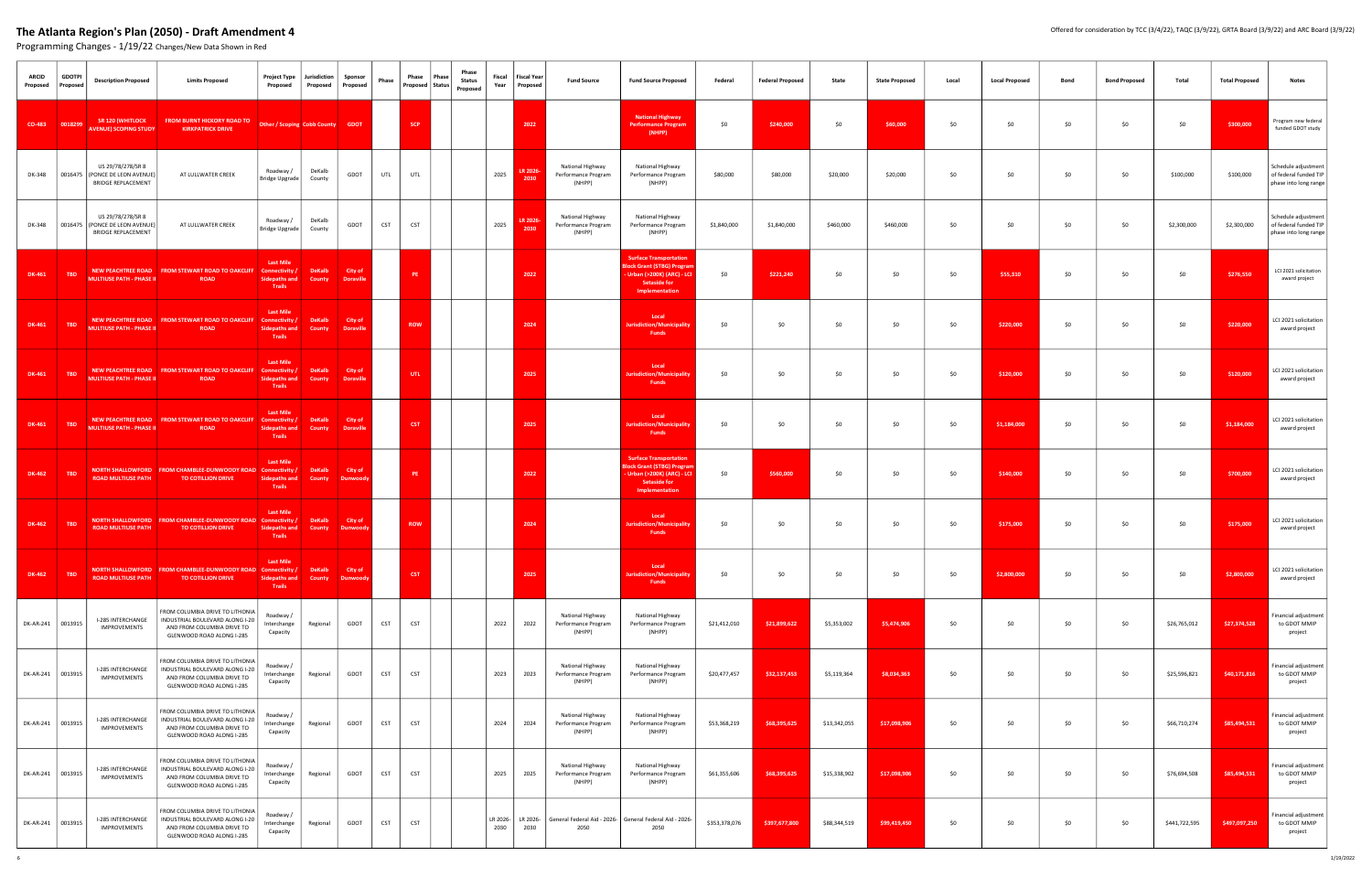| <b>ARCID</b><br>Proposed | <b>GDOTPI</b><br>Proposed | <b>Description Proposed</b><br><b>Limits Proposed</b>                                                                                                              | Jurisdiction<br>Project Type<br>Proposed                                                 | Sponsor<br>Proposed<br>Proposed | Phase      | Phase<br>Phase<br>Phase<br><b>Status</b><br>Proposed   Status  <br>Proposed | Fiscal           | <b>Fiscal Year</b><br>Year Proposed | <b>Fund Source</b>                                | <b>Fund Source Proposed</b>                                                                                                         | Federal       | <b>Federal Proposed</b> | State        | <b>State Proposed</b> | Local | <b>Local Proposed</b> | <b>Bond</b> | <b>Bond Proposed</b> | Total         | <b>Total Proposed</b> | <b>Notes</b>                                                          |
|--------------------------|---------------------------|--------------------------------------------------------------------------------------------------------------------------------------------------------------------|------------------------------------------------------------------------------------------|---------------------------------|------------|-----------------------------------------------------------------------------|------------------|-------------------------------------|---------------------------------------------------|-------------------------------------------------------------------------------------------------------------------------------------|---------------|-------------------------|--------------|-----------------------|-------|-----------------------|-------------|----------------------|---------------|-----------------------|-----------------------------------------------------------------------|
| CO-483 0018299           |                           | <b>SR 120 (WHITLOCK</b><br>FROM BURNT HICKORY ROAD TO Other / Scoping Cobb County GDOT<br><b>AVENUE) SCOPING STUDY</b><br><b>KIRKPATRICK DRIVE</b>                 |                                                                                          |                                 |            | SCP <sub>1</sub>                                                            |                  | 2022                                |                                                   | <b>National Highway</b><br><b>Performance Program</b><br>(NHPP)                                                                     | \$0           | \$240,000               | \$0          | \$60,000              | \$0   | \$0                   | \$0         | \$0                  | \$0           | \$300,000             | Program new federal<br>funded GDOT study                              |
| DK-348                   |                           | US 29/78/278/SR 8<br>0016475 (PONCE DE LEON AVENUE)<br>AT LULLWATER CREEK<br><b>BRIDGE REPLACEMENT</b>                                                             | Roadway /<br>DeKalb<br>Bridge Upgrade<br>County                                          | GDOT                            | UTL        | UTL                                                                         | 2025             | LR 2026-<br>2030                    | National Highway<br>Performance Program<br>(NHPP) | National Highway<br>Performance Program<br>(NHPP)                                                                                   | \$80,000      | \$80,000                | \$20,000     | \$20,000              | \$0   | \$0                   | \$0         | \$0                  | \$100,000     | \$100,000             | Schedule adjustment<br>of federal funded TIP<br>phase into long range |
| DK-348                   |                           | US 29/78/278/SR 8<br>0016475 (PONCE DE LEON AVENUE)<br>AT LULLWATER CREEK<br><b>BRIDGE REPLACEMENT</b>                                                             | Roadway /<br>DeKalb<br>Bridge Upgrade<br>County                                          | GDOT                            | <b>CST</b> | <b>CST</b>                                                                  | 2025             | LR 2026-<br>2030                    | National Highway<br>Performance Program<br>(NHPP) | National Highway<br>Performance Program<br>(NHPP)                                                                                   | \$1,840,000   | \$1,840,000             | \$460,000    | \$460,000             | \$0   | \$0                   | \$0         | \$0                  | \$2,300,000   | \$2,300,000           | Schedule adjustment<br>of federal funded TIP<br>phase into long range |
| DK-461                   | <b>TBD</b>                | NEW PEACHTREE ROAD FROM STEWART ROAD TO OAKCLIFF Connectivity /<br><b>MULTIUSE PATH - PHASE II</b><br><b>ROAD</b>                                                  | <b>Last Mile</b><br>DeKalb<br><b>Sidepaths and</b><br>County<br>Trails                   | City of<br><b>Doraville</b>     |            | PE.                                                                         |                  | 2022                                |                                                   | <b>Surface Transportation</b><br><b>Block Grant (STBG) Progra</b><br>Urban (>200K) (ARC) - LCI<br>Setaside for<br>Implementation    | \$0           | \$221,240               | \$0          | \$0                   | \$0   | \$55,310              | \$0         | \$0                  | \$0           | \$276,550             | LCI 2021 solicitation<br>award project                                |
| DK-461                   | <b>TBD</b>                | NEW PEACHTREE ROAD FROM STEWART ROAD TO OAKCLIFF Connectivity /<br><b>MULTIUSE PATH - PHASE II</b><br><b>ROAD</b>                                                  | <b>Last Mile</b><br><b>DeKalb</b><br><b>Sidepaths and</b><br>County<br>Trails            | City of<br><b>Doraville</b>     |            | <b>ROW</b>                                                                  |                  | 2024                                |                                                   | Local<br><b>Jurisdiction/Municipality</b><br><b>Funds</b>                                                                           | \$0           | \$0                     | \$0          | \$0                   | \$0   | \$220,000             | \$0         | \$0                  | \$0           | \$220,000             | LCI 2021 solicitation<br>award project                                |
| DK-461                   | TBD                       | NEW PEACHTREE ROAD FROM STEWART ROAD TO OAKCLIFF<br>MULTIUSE PATH - PHASE II<br><b>ROAD</b>                                                                        | <b>Last Mile</b><br>Connectivity /<br><b>DeKalb</b><br>Sidepaths and<br>County<br>Trails | City of<br><b>Doraville</b>     |            | UTL.                                                                        |                  | 2025                                |                                                   | Local<br><b>Jurisdiction/Municipality</b><br><b>Funds</b>                                                                           | \$0           | \$0                     | \$0          | \$0                   | \$0   | \$120,000             | \$0         | \$0                  | \$0           | \$120,000             | LCI 2021 solicitation<br>award project                                |
| <b>DK-461</b>            | TBD                       | NEW PEACHTREE ROAD   FROM STEWART ROAD TO OAKCLIFF   Connectivity /<br>MULTIUSE PATH - PHASE II<br>ROAD                                                            | <b>Last Mile</b><br><b>DeKalb</b><br>Sidepaths and<br>County<br>Trails                   | City of<br><b>Doraville</b>     |            | <b>CST</b>                                                                  |                  | 2025                                |                                                   | Local<br><b>Jurisdiction/Municipalit</b><br><b>Funds</b>                                                                            | \$0           | \$0                     | \$0          | \$0                   | \$0   | \$1,184,000           | \$0         | \$0                  | \$0           | \$1,184,000           | LCI 2021 solicitation<br>award project                                |
| DK-462                   | <b>TBD</b>                | NORTH SHALLOWFORD FROM CHAMBLEE-DUNWOODY ROAD Connectivity /<br><b>ROAD MULTIUSE PATH</b><br><b>TO COTILLION DRIVE</b>                                             | <b>Last Mile</b><br><b>DeKalb</b><br><b>Sidepaths and</b><br>County<br>Trails            | City of<br>Dunwoody             |            | PE.                                                                         |                  | 2022                                |                                                   | <b>Surface Transportation</b><br><b>Block Grant (STBG) Prograr</b><br>- Urban (>200K) (ARC) - LCI<br>Setaside for<br>Implementation | \$0           | \$560,000               | \$0          | \$0                   | \$0   | \$140,000             | \$0         | \$0                  | \$0           | \$700,000             | LCI 2021 solicitation<br>award project                                |
| DK-462   TBD             |                           | NORTH SHALLOWFORD FROM CHAMBLEE-DUNWOODY ROAD Connectivity /<br><b>ROAD MULTIUSE PATH</b><br><b>TO COTILLION DRIVE</b>                                             | <b>Last Mile</b><br>DeKalb<br><b>Sidepaths and</b><br>County<br>Trails                   | City of<br>Dunwoody             |            | <b>ROW</b>                                                                  |                  | 2024                                |                                                   | Local<br><b>Jurisdiction/Municipality</b><br>Funds                                                                                  | \$0           | \$0                     | \$0          | \$0                   | \$0   | \$175,000             | \$0         | \$0                  | \$0           | \$175,000             | LCI 2021 solicitation<br>award project                                |
| <b>DK-462</b>            | <b>TBD</b>                | NORTH SHALLOWFORD FROM CHAMBLEE-DUNWOODY ROAD Connectivity /<br><b>ROAD MULTIUSE PATH</b><br><b>TO COTILLION DRIVE</b>                                             | <b>Last Mile</b><br>DeKalb<br><b>Sidepaths and</b><br>County<br><b>Trails</b>            | City of<br><b>Dunwood</b>       |            | <b>CST</b>                                                                  |                  | 2025                                |                                                   | Local<br>urisdiction/Municipalit<br><b>Funds</b>                                                                                    | \$0           | \$0                     | \$0          | \$0                   | \$0   | \$2,800,000           | \$0         | \$0                  | \$0           | \$2,800,000           | LCI 2021 solicitation<br>award project                                |
| DK-AR-241 0013915        |                           | ROM COLUMBIA DRIVE TO LITHONIA<br>I-285 INTERCHANGE<br>INDUSTRIAL BOULEVARD ALONG I-20<br>IMPROVEMENTS<br>AND FROM COLUMBIA DRIVE TO<br>GLENWOOD ROAD ALONG I-285  | Roadway /<br>Regional<br>Interchange<br>Capacity                                         | GDOT                            | CST        | <b>CST</b>                                                                  | 2022             | 2022                                | National Highway<br>Performance Program<br>(NHPP) | National Highway<br>Performance Program<br>(NHPP)                                                                                   | \$21,412,010  | \$21,899,622            | \$5,353,002  | \$5,474,906           | \$0   | \$0                   | \$0         | \$0                  | \$26,765,012  | \$27,374,528          | inancial adjustment<br>to GDOT MMIP<br>project                        |
| DK-AR-241 0013915        |                           | ROM COLUMBIA DRIVE TO LITHONIA<br>I-285 INTERCHANGE<br>INDUSTRIAL BOULEVARD ALONG I-20<br>IMPROVEMENTS<br>AND FROM COLUMBIA DRIVE TO<br>GLENWOOD ROAD ALONG I-285  | Roadway /<br>Interchange<br>Regional<br>Capacity                                         | GDOT                            | CST        | <b>CST</b>                                                                  | 2023             | 2023                                | National Highway<br>Performance Program<br>(NHPP) | National Highway<br>Performance Program<br>(NHPP)                                                                                   | \$20,477,457  | \$32,137,453            | \$5,119,364  | \$8,034,363           | \$0   | \$0                   | \$0         | \$0                  | \$25,596,821  | \$40,171,816          | inancial adjustment<br>to GDOT MMIP<br>project                        |
| DK-AR-241                | 0013915                   | FROM COLUMBIA DRIVE TO LITHONIA<br>INDUSTRIAL BOULEVARD ALONG I-20<br>I-285 INTERCHANGE<br>IMPROVEMENTS<br>AND FROM COLUMBIA DRIVE TO<br>GLENWOOD ROAD ALONG I-285 | Roadway /<br>Interchange<br>Regional<br>Capacity                                         | GDOT                            | CST        | <b>CST</b>                                                                  | 2024             | 2024                                | National Highway<br>Performance Program<br>(NHPP) | National Highway<br>Performance Program<br>(NHPP)                                                                                   | \$53,368,219  | \$68,395,625            | \$13,342,055 | \$17,098,906          | \$0   | \$0                   | \$0         | \$0                  | \$66,710,274  | \$85,494,531          | inancial adjustment<br>to GDOT MMIP<br>project                        |
| DK-AR-241 0013915        |                           | ROM COLUMBIA DRIVE TO LITHONIA<br>I-285 INTERCHANGE<br>INDUSTRIAL BOULEVARD ALONG I-20<br>IMPROVEMENTS<br>AND FROM COLUMBIA DRIVE TO<br>GLENWOOD ROAD ALONG I-285  | Roadway /<br>Interchange<br>Regional<br>Capacity                                         | GDOT                            | CST        | <b>CST</b>                                                                  | 2025             | 2025                                | National Highway<br>Performance Program<br>(NHPP) | National Highway<br>Performance Program<br>(NHPP)                                                                                   | \$61,355,606  | \$68,395,625            | \$15,338,902 | \$17,098,906          | \$0   | \$0                   | \$0         | \$0                  | \$76,694,508  | \$85,494,531          | Financial adjustment<br>to GDOT MMIP<br>project                       |
| DK-AR-241 0013915        |                           | ROM COLUMBIA DRIVE TO LITHONIA<br>I-285 INTERCHANGE<br>INDUSTRIAL BOULEVARD ALONG I-20<br>IMPROVEMENTS<br>AND FROM COLUMBIA DRIVE TO<br>GLENWOOD ROAD ALONG I-285  | Roadway /<br>Interchange<br>Regional<br>Capacity                                         | GDOT                            | <b>CST</b> | <b>CST</b>                                                                  | LR 2026-<br>2030 | LR 2026-<br>2030                    | 2050                                              | General Federal Aid - 2026- General Federal Aid - 2026-<br>2050                                                                     | \$353,378,076 | \$397,677,800           | \$88,344,519 | \$99,419,450          | \$0   | \$0                   | \$0         | \$0                  | \$441,722,595 | \$497,097,250         | inancial adjustment<br>to GDOT MMIP<br>project                        |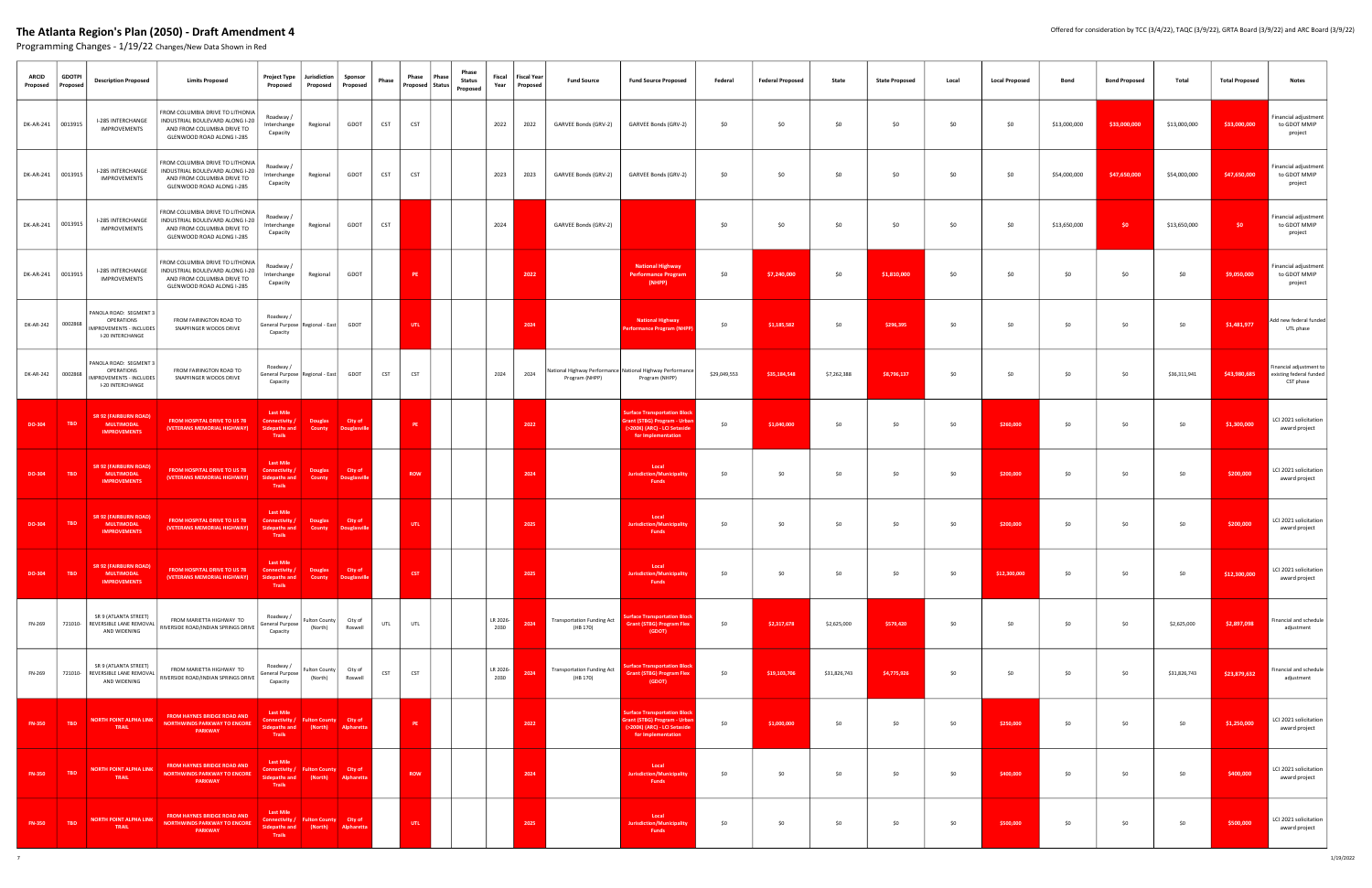| <b>ARCID</b><br>Proposed | <b>GDOTPI</b><br>Proposed | <b>Description Proposed</b>                                                                | <b>Limits Proposed</b>                                                                                                        | <b>Project Type</b><br>Proposed                                                                   | Jurisdiction<br>Proposed                | Sponsor<br>Proposed            | Phase      | Phase<br>Proposed Status | Phase<br>Phase<br><b>Status</b><br>Proposed | Fiscal<br>Year   | <b>Fiscal Year</b><br>Proposed | <b>Fund Source</b>                            | <b>Fund Source Proposed</b>                                                                                               | Federal      | <b>Federal Proposed</b> | State        | <b>State Proposed</b> | Local | <b>Local Proposed</b> | <b>Bond</b>  | <b>Bond Proposed</b> | Total        | <b>Total Proposed</b> | <b>Notes</b>                                                    |
|--------------------------|---------------------------|--------------------------------------------------------------------------------------------|-------------------------------------------------------------------------------------------------------------------------------|---------------------------------------------------------------------------------------------------|-----------------------------------------|--------------------------------|------------|--------------------------|---------------------------------------------|------------------|--------------------------------|-----------------------------------------------|---------------------------------------------------------------------------------------------------------------------------|--------------|-------------------------|--------------|-----------------------|-------|-----------------------|--------------|----------------------|--------------|-----------------------|-----------------------------------------------------------------|
| DK-AR-241 0013915        |                           | I-285 INTERCHANGE<br><b>IMPROVEMENTS</b>                                                   | FROM COLUMBIA DRIVE TO LITHONIA<br>INDUSTRIAL BOULEVARD ALONG I-20<br>AND FROM COLUMBIA DRIVE TO<br>GLENWOOD ROAD ALONG I-285 | Roadway/<br>Interchange<br>Capacity                                                               | Regional                                | GDOT                           | <b>CST</b> | <b>CST</b>               |                                             | 2022             | 2022                           | GARVEE Bonds (GRV-2)                          | GARVEE Bonds (GRV-2)                                                                                                      | \$0          | 50                      | \$0          | \$0                   | \$0   | \$0                   | \$13,000,000 | \$33,000,000         | \$13,000,000 | \$33,000,000          | inancial adjustment<br>to GDOT MMIP<br>project                  |
| DK-AR-241 0013915        |                           | I-285 INTERCHANGE<br><b>IMPROVEMENTS</b>                                                   | FROM COLUMBIA DRIVE TO LITHONIA<br>INDUSTRIAL BOULEVARD ALONG I-20<br>AND FROM COLUMBIA DRIVE TO<br>GLENWOOD ROAD ALONG I-285 | Roadway /<br>Interchange<br>Capacity                                                              | Regional                                | GDOT                           | CST        | <b>CST</b>               |                                             | 2023             | 2023                           | GARVEE Bonds (GRV-2)                          | GARVEE Bonds (GRV-2)                                                                                                      | \$0          | \$0                     | \$0          | \$0                   | \$0   | \$0                   | \$54,000,000 | \$47,650,000         | \$54,000,000 | \$47,650,000          | Financial adjustment<br>to GDOT MMIP<br>project                 |
| DK-AR-241   0013915      |                           | I-285 INTERCHANGE<br><b>IMPROVEMENTS</b>                                                   | FROM COLUMBIA DRIVE TO LITHONIA<br>INDUSTRIAL BOULEVARD ALONG I-20<br>AND FROM COLUMBIA DRIVE TO<br>GLENWOOD ROAD ALONG I-285 | Roadway /<br>Interchange<br>Capacity                                                              | Regional                                | GDOT                           | CST        |                          |                                             | 2024             |                                | GARVEE Bonds (GRV-2)                          |                                                                                                                           | \$0          | \$0                     | \$0          | \$0                   | \$0   | \$0                   | \$13,650,000 | \$0                  | \$13,650,000 | \$0                   | inancial adjustment<br>to GDOT MMIP<br>project                  |
| DK-AR-241   0013915      |                           | I-285 INTERCHANGE<br><b>IMPROVEMENTS</b>                                                   | FROM COLUMBIA DRIVE TO LITHONIA<br>INDUSTRIAL BOULEVARD ALONG I-20<br>AND FROM COLUMBIA DRIVE TO<br>GLENWOOD ROAD ALONG I-285 | Roadway /<br>Interchange<br>Capacity                                                              | Regional                                | GDOT                           |            | PE                       |                                             |                  | 2022                           |                                               | <b>National Highway</b><br><b>Performance Progran</b><br>(NHPP)                                                           | \$0          | \$7,240,000             | \$0          | \$1,810,000           | \$0   | \$0                   | \$0          | \$0                  | \$0          | \$9,050,000           | inancial adjustment<br>to GDOT MMIP<br>project                  |
| DK-AR-242 0002868        |                           | PANOLA ROAD: SEGMENT 3<br>OPERATIONS<br><b>IMPROVEMENTS - INCLUDES</b><br>I-20 INTERCHANGE | FROM FAIRINGTON ROAD TO<br>SNAPFINGER WOODS DRIVE                                                                             | Roadway /<br>General Purpose   Regional - East<br>Capacity                                        |                                         | GDOT                           |            | UTL.                     |                                             |                  | 2024                           |                                               | <b>National Highway</b><br>Performance Program (NHPP)                                                                     | \$0          | \$1,185,582             | \$0          | \$296,395             | \$0   | \$0                   | \$0          | \$0                  | \$0          | \$1,481,977           | Add new federal funded<br>UTL phase                             |
| DK-AR-242 0002868        |                           | PANOLA ROAD: SEGMENT 3<br>OPERATIONS<br><b>IMPROVEMENTS - INCLUDES</b><br>I-20 INTERCHANGE | FROM FAIRINGTON ROAD TO<br>SNAPFINGER WOODS DRIVE                                                                             | Roadway /<br>General Purpose   Regional - East<br>Capacity                                        |                                         | GDOT                           | <b>CST</b> | <b>CST</b>               |                                             | 2024             | 2024                           | Program (NHPP)                                | National Highway Performance National Highway Performance<br>Program (NHPP)                                               | \$29,049,553 | \$35,184,548            | \$7,262,388  | \$8,796,137           | \$0   | \$0                   | \$0          | \$0                  | \$36,311,941 | \$43,980,685          | Financial adjustment to<br>existing federal funded<br>CST phase |
| DO-304                   | <b>TBD</b>                | <b>SR 92 (FAIRBURN ROAD)</b><br><b>MULTIMODAL</b><br><b>IMPROVEMENTS</b>                   | FROM HOSPITAL DRIVE TO US 78<br>(VETERANS MEMORIAL HIGHWAY)                                                                   | <b>Last Mile</b><br>Connectivity /<br><b>Sidepaths and</b><br>Trails                              | <b>Douglas</b><br>County                | City of<br>Douglasvill         |            | <b>PE</b>                |                                             |                  | 2022                           |                                               | <b>Surface Transportation Block</b><br>Grant (STBG) Program - Urbar<br>(>200K) (ARC) - LCI Setaside<br>for Implementation | \$0          | \$1,040,000             | \$0          | \$0                   | \$0   | \$260,000             | \$0          | \$0                  | \$0          | \$1,300,000           | LCI 2021 solicitation<br>award project                          |
| DO-304                   | <b>TBD</b>                | <b>SR 92 (FAIRBURN ROAD)</b><br><b>MULTIMODAL</b><br><b>IMPROVEMENTS</b>                   | FROM HOSPITAL DRIVE TO US 78<br>(VETERANS MEMORIAL HIGHWAY)                                                                   | <b>Last Mile</b><br>Connectivity<br><b>Sidepaths and</b><br>Trails                                | Douglas<br>County                       | City of<br><b>Douglasvil</b>   |            | <b>ROW</b>               |                                             |                  | 2024                           |                                               | Local<br><b>Jurisdiction/Municipality</b><br><b>Funds</b>                                                                 | \$0          | \$0                     | \$0          | \$0                   | \$0   | \$200,000             | \$0          | \$0                  | \$0          | \$200,000             | LCI 2021 solicitation<br>award project                          |
| DO-304                   | <b>TBD</b>                | SR 92 (FAIRBURN ROAD)<br><b>MULTIMODAL</b><br><b>IMPROVEMENTS</b>                          | FROM HOSPITAL DRIVE TO US 78<br>(VETERANS MEMORIAL HIGHWAY)                                                                   | <b>Last Mile</b><br>Connectivity .<br><b>Sidepaths and</b><br>Trails                              | Douglas<br>County                       | City of<br>Douglasville        |            | UTL                      |                                             |                  | 2025                           |                                               | Local<br>Jurisdiction/Municipality<br>Funds                                                                               | \$0          | \$0                     | \$0          | \$0                   | \$0   | \$200,000             | \$0          | \$0                  | \$0          | \$200,000             | LCI 2021 solicitation<br>award project                          |
| DO-304                   | <b>TBD</b>                | <b>SR 92 (FAIRBURN ROAD</b><br><b>MULTIMODAL</b><br><b>IMPROVEMENTS</b>                    | FROM HOSPITAL DRIVE TO US 78<br>(VETERANS MEMORIAL HIGHWAY)                                                                   | <b>Last Mile</b><br>Connectivity /<br><b>Sidepaths and</b><br>Trails                              | Douglas<br>County                       | City of<br><b>Douglasville</b> |            | <b>CST</b>               |                                             |                  | 2025                           |                                               | Local<br>Jurisdiction/Municipality<br><b>Funds</b>                                                                        | \$0          | \$0                     | \$0          | \$0                   | \$0   | \$12,300,000          | \$0          | \$0                  | \$0          | \$12,300,000          | LCI 2021 solicitation<br>award project                          |
| FN-269                   | 721010-                   | SR 9 (ATLANTA STREET)<br>REVERSIBLE LANE REMOVAL<br>AND WIDENING                           | FROM MARIETTA HIGHWAY TO<br>RIVERSIDE ROAD/INDIAN SPRINGS DRIVE                                                               | Roadway /<br>General Purpose<br>Capacity                                                          | Fulton County<br>(North)                | City of<br>Roswell             | UTL        | UTL                      |                                             | LR 2026-<br>2030 | 2024                           | <b>Transportation Funding Act</b><br>(HB 170) | urface Transportation Block<br><b>Grant (STBG) Program Flex</b><br>(GDOT)                                                 | \$0          | \$2,317,678             | \$2,625,000  | \$579,420             | \$0   | \$0                   | \$0          | \$0                  | \$2,625,000  | \$2,897,098           | Financial and schedule<br>adjustment                            |
| FN-269                   |                           | SR 9 (ATLANTA STREET)<br>721010- REVERSIBLE LANE REMOVAL<br>AND WIDENING                   | FROM MARIETTA HIGHWAY TO<br>RIVERSIDE ROAD/INDIAN SPRINGS DRIVE                                                               | Roadway /<br>General Purpose<br>Capacity                                                          | Fulton County<br>(North)                | City of<br>Roswell             | <b>CST</b> | <b>CST</b>               |                                             | LR 2026-<br>2030 | 2024                           | <b>Transportation Funding Act</b><br>(HB 170) | <b>Surface Transportation Block</b><br><b>Grant (STBG) Program Flex</b><br>(GDOT)                                         | \$0          | \$19,103,706            | \$31,826,743 | \$4,775,926           | \$0   | \$0                   | \$0          | \$0                  | \$31,826,743 | \$23,879,632          | Financial and schedule<br>adjustment                            |
| <b>FN-350</b>            | <b>TBD</b>                | <b>NORTH POINT ALPHA LINK</b><br>TRAIL                                                     | FROM HAYNES BRIDGE ROAD AND<br><b>NORTHWINDS PARKWAY TO ENCORE</b><br><b>PARKWAY</b>                                          | <b>Last Mile</b><br>Connectivity / Fulton County City of<br><b>Sidepaths and</b><br><b>Trails</b> | (North)                                 | Alpharetta                     |            | PE.                      |                                             |                  | 2022                           |                                               | <b>Surface Transportation Block</b><br>Grant (STBG) Program - Urbar<br>(>200K) (ARC) - LCI Setaside<br>for Implementation | \$0          | \$1,000,000             | \$0          | \$0                   | \$0   | \$250,000             | \$0          | \$0                  | \$0          | \$1,250,000           | LCI 2021 solicitation<br>award project                          |
| <b>FN-350</b>            | <b>TBD</b>                | <b>NORTH POINT ALPHA LINK</b><br>TRAIL                                                     | FROM HAYNES BRIDGE ROAD AND<br><b>NORTHWINDS PARKWAY TO ENCORE</b><br><b>PARKWAY</b>                                          | <b>Last Mile</b><br>Connectivity /<br><b>Sidepaths and</b><br>Trails                              | <b>Fulton County</b> City of<br>(North) | Alpharetta                     |            | <b>ROW</b>               |                                             |                  | 2024                           |                                               | Local<br><b>Jurisdiction/Municipality</b><br>Funds                                                                        | \$0          | \$0                     | \$0          | \$0                   | \$0   | \$400,000             | \$0          | \$0                  | \$0          | \$400,000             | LCI 2021 solicitation<br>award project                          |
| <b>FN-350</b>            | <b>TBD</b>                | NORTH POINT ALPHALINK<br>TRAIL                                                             | FROM HAYNES BRIDGE ROAD AND<br><b>NORTHWINDS PARKWAY TO ENCORE</b><br>PARKWAY                                                 | <b>Last Mile</b><br>Connectivity / Fulton County City of<br><b>Sidepaths and</b><br><b>Trails</b> | (North)                                 | Alpharetta                     |            | <b>UTL</b>               |                                             |                  | 2025                           |                                               | Local<br><b>Jurisdiction/Municipality</b><br>Funds                                                                        | \$0          | \$0                     | \$0          | \$0                   | \$0   | \$500,000             | \$0          | \$0                  | \$0          | \$500,000             | LCI 2021 solicitation<br>award project                          |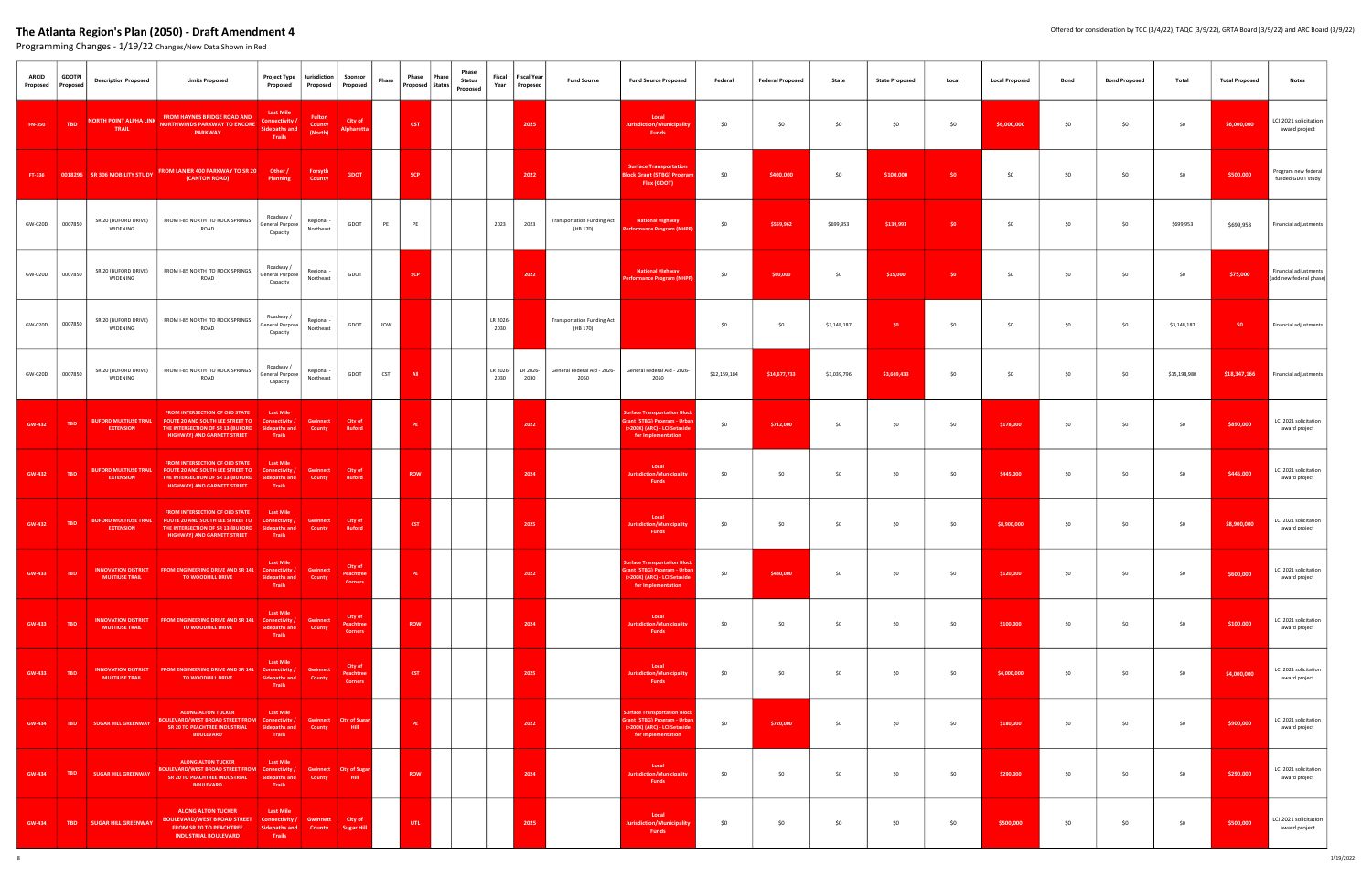| <b>ARCID</b><br>Proposed | <b>GDOTPI</b><br>Proposed | <b>Description Proposed</b>                      | <b>Limits Proposed</b>                                                                                                                        | Project Type<br>Proposed                                                      | Jurisdiction<br>Proposed           | Sponsor<br>Proposed                    | Phase      | Phase      | Phase<br>Proposed   Status | Phase<br><b>Status</b><br>Proposed | Fiscal<br>Year   | <b>Fiscal Year</b><br>Proposed | <b>Fund Source</b>                            | <b>Fund Source Proposed</b>                                                                                               | Federal      | <b>Federal Proposed</b> | State       | <b>State Proposed</b> | Local  | <b>Local Proposed</b> | Bond | <b>Bond Proposed</b> | Total        | <b>Total Proposed</b> | Notes                                            |
|--------------------------|---------------------------|--------------------------------------------------|-----------------------------------------------------------------------------------------------------------------------------------------------|-------------------------------------------------------------------------------|------------------------------------|----------------------------------------|------------|------------|----------------------------|------------------------------------|------------------|--------------------------------|-----------------------------------------------|---------------------------------------------------------------------------------------------------------------------------|--------------|-------------------------|-------------|-----------------------|--------|-----------------------|------|----------------------|--------------|-----------------------|--------------------------------------------------|
| <b>FN-350</b>            | <b>TBD</b>                | <b>NORTH POINT ALPHA LINK</b><br>TRAIL           | FROM HAYNES BRIDGE ROAD AND<br><b>NORTHWINDS PARKWAY TO ENCORE</b><br><b>PARKWAY</b>                                                          | <b>Last Mile</b><br>Connectivity /<br><b>Sidepaths and</b><br>Trails          | <b>Fulton</b><br>County<br>(North) | City of<br>Alpharetta                  |            | <b>CST</b> |                            |                                    |                  | 2025                           |                                               | Local<br><b>Jurisdiction/Municipality</b><br><b>Funds</b>                                                                 | \$0          | \$0                     | \$0         | \$0                   | \$0    | \$6,000,000           | \$0  | \$0                  | \$0          | \$6,000,000           | LCI 2021 solicitation<br>award project           |
|                          |                           |                                                  | FT-336 0018296 SR 306 MOBILITY STUDY FROM LANIER 400 PARKWAY TO SR 20<br>(CANTON ROAD)                                                        | Other /<br>Planning                                                           | Forsyth<br>County                  | <b>GDOT</b>                            |            | <b>SCP</b> |                            |                                    |                  | 2022                           |                                               | <b>Surface Transportation</b><br><b>Block Grant (STBG) Progra</b><br>Flex (GDOT)                                          | \$0          | \$400,000               | \$0         | \$100,000             | \$0    | \$0                   | \$0  | \$0                  | \$0          | \$500,000             | Program new federal<br>funded GDOT study         |
| GW-020D                  | 0007850                   | SR 20 (BUFORD DRIVE)<br>WIDENING                 | FROM I-85 NORTH TO ROCK SPRINGS<br>ROAD                                                                                                       | Roadway /<br>General Purpose<br>Capacity                                      | Regional -<br>Northeast            | GDOT                                   | PE         | PE         |                            |                                    | 2023             | 2023                           | <b>Transportation Funding Act</b><br>(HB 170) | <b>National Highway</b><br><b>Performance Program (NHP</b>                                                                | \$0          | \$559,962               | \$699,953   | \$139,991             | \$0    | \$0                   | \$0  | \$0                  | \$699,953    | \$699,953             | Financial adjustments                            |
|                          | GW-020D 0007850           | SR 20 (BUFORD DRIVE)<br>WIDENING                 | FROM I-85 NORTH TO ROCK SPRINGS<br>ROAD                                                                                                       | Roadway /<br>General Purpose<br>Capacity                                      | Regional -<br>Northeast            | GDOT                                   |            | SCP        |                            |                                    |                  | 2022                           |                                               | <b>National Highway</b><br><b>Performance Program (NHF</b>                                                                | \$0          | \$60,000                | \$0         | \$15,000              | $50 -$ | \$0                   | \$0  | \$0                  | \$0          | \$75,000              | Financial adjustments<br>(add new federal phase) |
|                          | GW-020D 0007850           | SR 20 (BUFORD DRIVE)<br>WIDENING                 | FROM I-85 NORTH TO ROCK SPRINGS<br>ROAD                                                                                                       | Roadway /<br>General Purpose<br>Capacity                                      | Regional -<br>Northeast            | GDOT                                   | <b>ROW</b> |            |                            |                                    | LR 2026-<br>2030 |                                | <b>Transportation Funding Act</b><br>(HB 170) |                                                                                                                           | \$0          | \$0                     | \$3,148,187 | \$0                   | \$0    | \$0                   | \$0  | \$0                  | \$3,148,187  | -\$0                  | Financial adjustments                            |
| GW-020D                  | 0007850                   | SR 20 (BUFORD DRIVE)<br>WIDENING                 | FROM I-85 NORTH TO ROCK SPRINGS<br>ROAD                                                                                                       | Roadway /<br>General Purpose<br>Capacity                                      | Regional -<br>Northeast            | GDOT                                   | <b>CST</b> | <b>All</b> |                            |                                    | LR 2026-<br>2030 | LR 2026-<br>2030               | General Federal Aid - 2026-<br>2050           | General Federal Aid - 2026-<br>2050                                                                                       | \$12,159,184 | \$14,677,733            | \$3,039,796 | \$3,669,433           | \$0    | \$0                   | \$0  | \$0                  | \$15,198,980 | \$18,347,166          | Financial adjustments                            |
| GW-432                   | <b>TBD</b>                | <b>BUFORD MULTIUSE TRAIL</b><br><b>EXTENSION</b> | FROM INTERSECTION OF OLD STATE<br>ROUTE 20 AND SOUTH LEE STREET TO<br>THE INTERSECTION OF SR 13 (BUFORD<br><b>HIGHWAY) AND GARNETT STREET</b> | <b>Last Mile</b><br>Connectivity /<br>Sidepaths and<br>Trails                 | <b>Gwinnett</b><br>County          | City of<br><b>Buford</b>               |            | PE         |                            |                                    |                  | 2022                           |                                               | <b>Surface Transportation Bloc</b><br>irant (STBG) Program - Urba<br>(>200K) (ARC) - LCI Setaside<br>for Implementation   | \$0          | \$712,000               | \$0         | \$0                   | \$0    | \$178,000             | \$0  | \$0                  | \$0          | \$890,000             | LCI 2021 solicitation<br>award project           |
| <b>GW-432</b>            | <b>TBD</b>                | <b>BUFORD MULTIUSE TRAIL</b><br><b>EXTENSION</b> | <b>FROM INTERSECTION OF OLD STATE</b><br>ROUTE 20 AND SOUTH LEE STREET TO<br>THE INTERSECTION OF SR 13 (BUFORD<br>HIGHWAY) AND GARNETT STREET | <b>Last Mile</b><br>Connectivity /<br>Sidepaths and<br>Trails                 | <b>Gwinnett</b><br>County          | City of<br><b>Buford</b>               |            | <b>ROW</b> |                            |                                    |                  | 2024                           |                                               | Local<br><b>Jurisdiction/Municipality</b><br>Funds                                                                        | \$0          | \$0                     | \$0         | \$0                   | \$0    | \$445,000             | \$0  | \$0                  | \$0          | \$445,000             | LCI 2021 solicitation<br>award project           |
| GW-432                   | <b>TBD</b>                | <b>BUFORD MULTIUSE TRAIL</b><br><b>EXTENSION</b> | FROM INTERSECTION OF OLD STATE<br>ROUTE 20 AND SOUTH LEE STREET TO<br>THE INTERSECTION OF SR 13 (BUFORD<br>HIGHWAY) AND GARNETT STREET        | <b>Last Mile</b><br><b>Connectivity</b><br>Sidepaths an<br>Trails             | <b>Gwinnett</b><br><b>County</b>   | City of<br><b>Buford</b>               |            | <b>CST</b> |                            |                                    |                  | 2025                           |                                               | Local<br>Jurisdiction/Municipality<br><b>Funds</b>                                                                        | \$0          | \$0                     | \$0         | \$0                   | \$0    | \$8,900,000           | \$0  | \$0                  | \$0          | \$8,900,000           | LCI 2021 solicitation<br>award project           |
| GW-433                   | <b>TBD</b>                | <b>MULTIUSE TRAIL</b>                            | INNOVATION DISTRICT FROM ENGINEERING DRIVE AND SR 141 Connectivity /<br>TO WOODHILL DRIVE                                                     | <b>Sidepaths and</b><br>Trails                                                | Gwinnett<br>County                 | City of<br>Peachtree<br><b>Corners</b> |            | PE         |                            |                                    |                  | 2022                           |                                               | urface Transportation Bl<br><b>Grant (STBG) Program - Urban</b><br>(>200K) (ARC) - LCI Setaside<br>for Implementation     | \$0          | \$480,000               | \$0         | \$0                   | \$0    | \$120,000             | \$0  | \$0                  | \$0          | \$600,000             | LCI 2021 solicitation<br>award project           |
| <b>GW-433</b>            | <b>TBD</b>                | <b>MULTIUSE TRAIL</b>                            | INNOVATION DISTRICT FROM ENGINEERING DRIVE AND SR 141 Connectivity /<br><b>TO WOODHILL DRIVE</b>                                              | <b>Last Mile</b><br><b>Sidepaths and</b><br>Trails                            | Gwinnett<br>County                 | City of<br>Peachtree<br><b>Corners</b> |            | <b>ROW</b> |                            |                                    |                  | 2024                           |                                               | Local<br>Jurisdiction/Municipality<br>Funds                                                                               | \$0          | \$0                     | \$0         | \$0                   | \$0    | \$100,000             | \$0  | \$0                  | \$0          | \$100,000             | LCI 2021 solicitation<br>award project           |
| <b>GW-433</b>            | <b>TBD</b>                | <b>MULTIUSE TRAIL</b>                            | INNOVATION DISTRICT FROM ENGINEERING DRIVE AND SR 141 Connectivity /<br>TO WOODHILL DRIVE                                                     | <b>Last Mile</b><br><b>Sidepaths and</b><br>Trails                            | <b>Gwinnett</b><br>County          | City of<br>Peachtree<br><b>Corners</b> |            | <b>CST</b> |                            |                                    |                  | 2025                           |                                               | Local<br><b>Jurisdiction/Municipality</b><br><b>Funds</b>                                                                 | \$0          | \$0                     | \$0         | \$0                   | \$0    | \$4,000,000           | \$0  | \$0                  | \$0          | \$4,000,000           | LCI 2021 solicitation<br>award project           |
| GW-434                   | <b>TBD</b>                | <b>SUGAR HILL GREENWAY</b>                       | <b>ALONG ALTON TUCKER</b><br><b>BOULEVARD/WEST BROAD STREET FROM</b> Connectivity /<br>SR 20 TO PEACHTREE INDUSTRIAL<br><b>BOULEVARD</b>      | <b>Last Mile</b><br><b>Sidepaths and</b><br>Trails                            | County                             | Gwinnett City of Sugar<br>Hill -       |            | PE         |                            |                                    |                  | 2022                           |                                               | <b>Surface Transportation Block</b><br>Grant (STBG) Program - Urban<br>(>200K) (ARC) - LCI Setaside<br>for Implementation | \$0          | \$720,000               | \$0         | \$0                   | \$0    | \$180,000             | \$0  | \$0                  | \$0          | \$900,000             | LCI 2021 solicitation<br>award project           |
| <b>GW-434</b>            | TBD                       | <b>SUGAR HILL GREENWAY</b>                       | <b>ALONG ALTON TUCKER</b><br>BOULEVARD/WEST BROAD STREET FROM Connectivity /<br>SR 20 TO PEACHTREE INDUSTRIAL<br><b>BOULEVARD</b>             | <b>Last Mile</b><br><b>Sidepaths and</b><br>Trails                            | County                             | Gwinnett City of Sugar<br>Hill -       |            | <b>ROW</b> |                            |                                    |                  | 2024                           |                                               | Local<br><b>Jurisdiction/Municipality</b><br><b>Funds</b>                                                                 | \$0          | \$0                     | \$0         | \$0                   | \$0    | \$290,000             | \$0  | \$0                  | \$0          | \$290,000             | LCI 2021 solicitation<br>award project           |
| <b>GW-434</b>            | TBD                       | <b>SUGAR HILL GREENWAY</b>                       | <b>ALONG ALTON TUCKER</b><br><b>BOULEVARD/WEST BROAD STREET</b><br><b>FROM SR 20 TO PEACHTREE</b><br><b>INDUSTRIAL BOULEVARD</b>              | <b>Last Mile</b><br>Connectivity / Gwinnett<br><b>Sidepaths and</b><br>Trails | County                             | City of<br><b>Sugar Hill</b>           |            | UTL.       |                            |                                    |                  | 2025                           |                                               | Local<br><b>Jurisdiction/Municipality</b><br>Funds                                                                        | \$0          | \$0                     | \$0         | \$0                   | \$0    | \$500,000             | \$0  | \$0                  | \$0          | \$500,000             | LCI 2021 solicitation<br>award project           |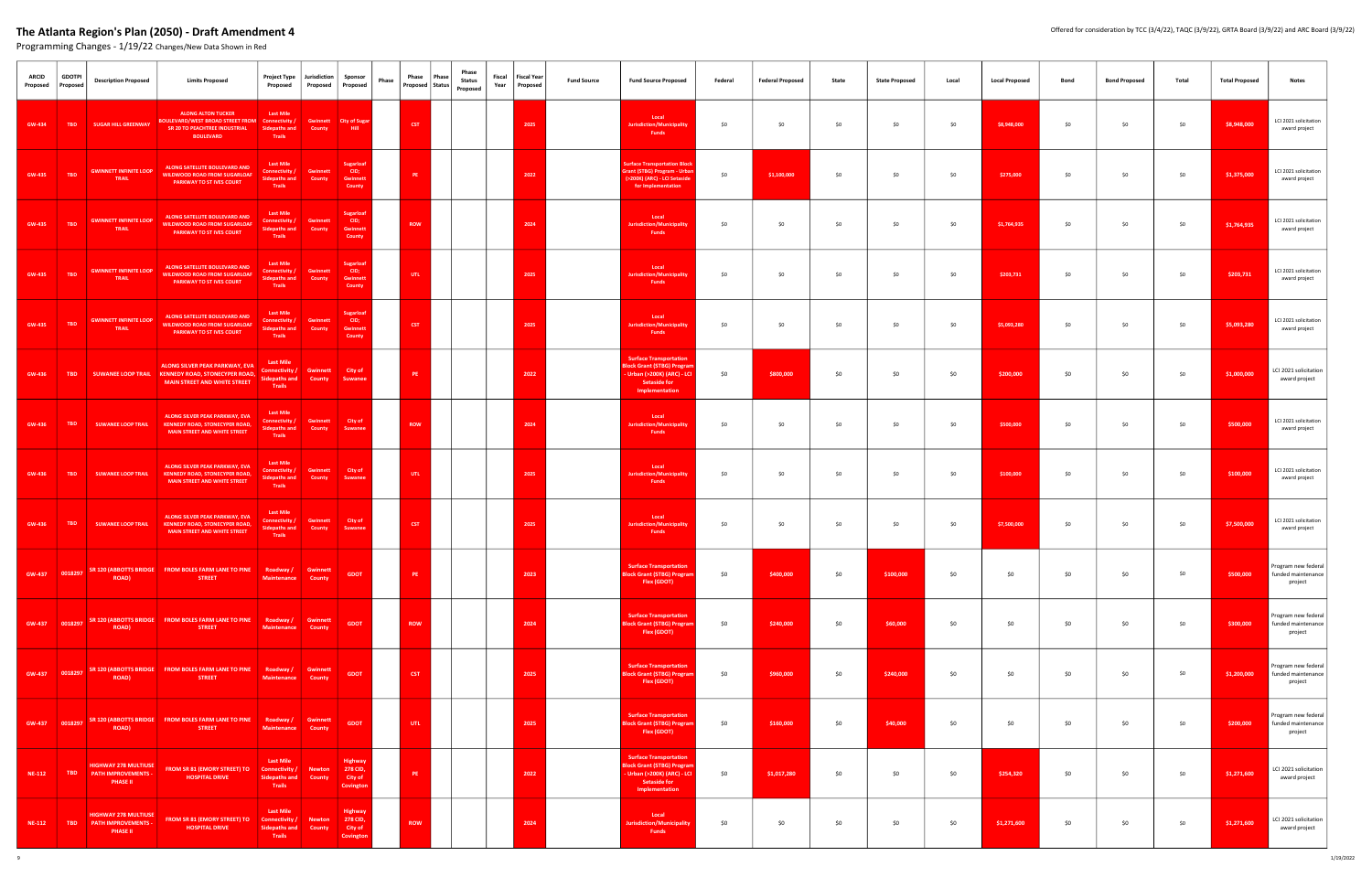| <b>ARCID</b><br>Proposed | <b>GDOTPI</b><br>Proposed | <b>Description Proposed</b>                                                  | <b>Limits Proposed</b>                                                                                                            | <b>Project Type</b><br>Proposed                                      | Jurisdiction                    | Sponsor<br>Proposed   Proposed                       | Phase | Phase<br>Proposed Status | Phase<br>Phase<br>Status<br>Proposed | Fiscal<br>Year | <b>Fiscal Year</b><br>Proposed | <b>Fund Source</b> | <b>Fund Source Proposed</b>                                                                                                         | Federal | <b>Federal Proposed</b> | State | <b>State Proposed</b> | Local | <b>Local Proposed</b> | Bond | <b>Bond Proposed</b> | Total | <b>Total Proposed</b> | Notes                                                |
|--------------------------|---------------------------|------------------------------------------------------------------------------|-----------------------------------------------------------------------------------------------------------------------------------|----------------------------------------------------------------------|---------------------------------|------------------------------------------------------|-------|--------------------------|--------------------------------------|----------------|--------------------------------|--------------------|-------------------------------------------------------------------------------------------------------------------------------------|---------|-------------------------|-------|-----------------------|-------|-----------------------|------|----------------------|-------|-----------------------|------------------------------------------------------|
| GW-434                   | <b>TBD</b>                | <b>SUGAR HILL GREENWAY</b>                                                   | <b>ALONG ALTON TUCKER</b><br>BOULEVARD/WEST BROAD STREET FROM Connectivity /<br>SR 20 TO PEACHTREE INDUSTRIAL<br><b>BOULEVARD</b> | <b>Last Mile</b><br>Sidepaths and<br>Trails                          | Gwinnett<br>County              | <b>City of Sugar</b><br>Hill                         |       | <b>CST</b>               |                                      |                | 2025                           |                    | Local<br><b>Jurisdiction/Municipality</b><br>Funds                                                                                  | \$0     | \$0                     | \$0   | \$0                   | \$0   | \$8,948,000           | \$0  | \$0                  | \$0   | \$8,948,000           | LCI 2021 solicitation<br>award project               |
| GW-435                   | <b>TBD</b>                | <b>GWINNETT INFINITE LOOP</b><br>TRAIL                                       | ALONG SATELLITE BOULEVARD AND<br><b>WILDWOOD ROAD FROM SUGARLOAF</b><br>PARKWAY TO ST IVES COURT                                  | <b>Last Mile</b><br>Connectivity /<br>Sidepaths and<br>Trails        | <b>Gwinnet</b><br>County        | <b>Sugarloaf</b><br>CID;<br><b>Gwinnet</b><br>County |       | PE.                      |                                      |                | 2022                           |                    | <b>Surface Transportation Block</b><br>Grant (STBG) Program - Urban<br>(>200K) (ARC) - LCI Setasid<br>for Implementation            | \$0     | \$1,100,000             | \$0   | \$0                   | \$0   | \$275,000             | \$0  | \$0                  | \$0   | \$1,375,000           | LCI 2021 solicitation<br>award project               |
| GW-435                   | <b>TBD</b>                | <b>GWINNETT INFINITE LOOP</b><br>TRAIL                                       | ALONG SATELLITE BOULEVARD AND<br><b>WILDWOOD ROAD FROM SUGARLOAR</b><br>PARKWAY TO ST IVES COURT                                  | <b>Last Mile</b><br>Connectivity /<br><b>Sidepaths and</b><br>Trails | <b>Gwinnet</b><br><b>County</b> | <b>Sugarloaf</b><br>CID;<br>Gwinnett<br>County       |       | <b>ROW</b>               |                                      |                | 2024                           |                    | Local<br><b>Jurisdiction/Municipality</b><br>Funds                                                                                  | \$0     | \$0                     | \$0   | \$0                   | \$0   | \$1,764,935           | \$0  | \$0                  | \$0   | \$1,764,935           | LCI 2021 solicitation<br>award project               |
| GW-435                   | <b>TBD</b>                | <b>GWINNETT INFINITE LOOP</b><br>TRAIL                                       | ALONG SATELLITE BOULEVARD AND<br><b>VILDWOOD ROAD FROM SUGARLOAF</b><br>PARKWAY TO ST IVES COURT                                  | <b>Last Mile</b><br>Connectivity /<br><b>Sidepaths and</b><br>Trails | Gwinnett<br><b>County</b>       | <b>Sugarloat</b><br>CID;<br>Gwinnett<br>County       |       | UTL.                     |                                      |                | 2025                           |                    | Local<br>Jurisdiction/Municipality<br>Funds                                                                                         | \$0     | \$0                     | \$0   | \$0                   | \$0   | \$203,731             | \$0  | \$0                  | \$0   | \$203,731             | LCI 2021 solicitation<br>award project               |
| GW-435                   | <b>TBD</b>                | <b>GWINNETT INFINITE LOOP</b><br>TRAIL                                       | ALONG SATELLITE BOULEVARD AND<br><b>WILDWOOD ROAD FROM SUGARLOAR</b><br><b>PARKWAY TO ST IVES COURT</b>                           | <b>Last Mile</b><br>Connectivity /<br>Sidepaths and<br>Trails        | Gwinnett<br>County              | <b>Sugarloat</b><br>CID;<br><b>Gwinnet</b><br>County |       | <b>CST</b>               |                                      |                | 2025                           |                    | Local<br><b>Jurisdiction/Municipality</b><br><b>Funds</b>                                                                           | \$0     | \$0                     | \$0   | \$0                   | \$0   | \$5,093,280           | \$0  | \$0                  | \$0   | \$5,093,280           | LCI 2021 solicitation<br>award project               |
| <b>GW-436</b>            | <b>TBD</b>                |                                                                              | ALONG SILVER PEAK PARKWAY, EVA<br>SUWANEE LOOP TRAIL KENNEDY ROAD, STONECYPER ROAD,<br><b>MAIN STREET AND WHITE STREET</b>        | <b>Last Mile</b><br>Connectivity /<br><b>Sidepaths and</b><br>Trails | <b>Gwinnett</b><br>County       | City of<br><b>Suwanee</b>                            |       | PE                       |                                      |                | 2022                           |                    | <b>Surface Transportation</b><br><b>Block Grant (STBG) Progran</b><br>- Urban (>200K) (ARC) - LCI<br>Setaside for<br>Implementation | \$0     | \$800,000               | \$0   | \$0                   | \$0   | \$200,000             | \$0  | \$0                  | \$0   | \$1,000,000           | LCI 2021 solicitation<br>award project               |
| GW-436                   | <b>TBD</b>                | <b>SUWANEE LOOP TRAIL</b>                                                    | <b>ALONG SILVER PEAK PARKWAY, EVA</b><br><b>KENNEDY ROAD, STONECYPER ROAD</b><br>MAIN STREET AND WHITE STREET                     | <b>Last Mile</b><br>Connectivity /<br><b>Sidepaths and</b><br>Trails | Gwinnett<br><b>County</b>       | City of<br><b>Suwane</b>                             |       | <b>ROW</b>               |                                      |                | 2024                           |                    | Local<br><b>Jurisdiction/Municipality</b><br><b>Funds</b>                                                                           | \$0     | \$0                     | \$0   | \$0                   | \$0   | \$500,000             | \$0  | \$0                  | \$0   | \$500,000             | LCI 2021 solicitation<br>award project               |
| GW-436                   | <b>TBD</b>                | <b>SUWANEE LOOP TRAIL</b>                                                    | <b>ALONG SILVER PEAK PARKWAY, EVA</b><br><b>KENNEDY ROAD, STONECYPER ROAD</b><br><b>MAIN STREET AND WHITE STREET</b>              | <b>Last Mile</b><br>Connectivity /<br>Sidepaths and<br>Trails        | <b>Gwinnett</b><br>County       | City of<br>Suwane                                    |       | UTL .                    |                                      |                | 2025                           |                    | Local<br><b>Jurisdiction/Municipality</b><br><b>Funds</b>                                                                           | \$0     | \$0                     | \$0   | \$0                   | \$0   | \$100,000             | \$0  | \$0                  | \$0   | \$100,000             | LCI 2021 solicitation<br>award project               |
| <b>GW-436</b>            | <b>TBD</b>                | <b>SUWANEE LOOP TRAIL</b>                                                    | ALONG SILVER PEAK PARKWAY, EVA<br><b>KENNEDY ROAD, STONECYPER ROAD,</b><br><b>MAIN STREET AND WHITE STREET</b>                    | <b>Last Mile</b><br>Connectivity /<br><b>Sidepaths and</b><br>Trails | Gwinnett<br>County              | City of<br>Suwane                                    |       | <b>CST</b>               |                                      |                | 2025                           |                    | Local<br>Jurisdiction/Municipality<br><b>Funds</b>                                                                                  | \$0     | \$0                     | \$0   | \$0                   | \$0   | \$7,500,000           | \$0  | \$0                  | \$0   | \$7,500,000           | LCI 2021 solicitation<br>award project               |
|                          | GW-437 0018297            | <b>ROAD</b> )                                                                | SR 120 (ABBOTTS BRIDGE FROM BOLES FARM LANE TO PINE Roadway / Gwinnett<br><b>STREET</b>                                           | <b>Maintenance</b>                                                   | <b>County</b>                   | <b>GDOT</b>                                          |       | PE :                     |                                      |                | 2023                           |                    | <b>Surface Transportation</b><br><b>Block Grant (STBG) Progran</b><br>Flex (GDOT)                                                   | \$0     | \$400,000               | \$0   | \$100,000             | \$0   | \$0                   | \$0  | \$0                  | \$0   | \$500,000             | Program new federal<br>funded maintenance<br>project |
|                          | GW-437 0018297            | <b>ROAD</b> )                                                                | SR 120 (ABBOTTS BRIDGE FROM BOLES FARM LANE TO PINE Roadway / Gwinnett<br><b>STREET</b>                                           | <b>Maintenance</b>                                                   | <b>County</b>                   | <b>GDOT</b>                                          |       | <b>ROW</b>               |                                      |                | 2024                           |                    | <b>Surface Transportation</b><br><b>Block Grant (STBG) Progran</b><br>Flex (GDOT)                                                   | \$0     | \$240,000               | \$0   | \$60,000              | \$0   | \$0                   | \$0  | \$0                  | \$0   | \$300,000             | Program new federal<br>funded maintenance<br>project |
|                          | GW-437 0018297            | <b>ROAD</b> )                                                                | SR 120 (ABBOTTS BRIDGE   FROM BOLES FARM LANE TO PINE   Roadway / Gwinnett<br><b>STREET</b>                                       | <b>Maintenance County</b>                                            |                                 | <b>GDOT</b>                                          |       | <b>CST</b>               |                                      |                | 2025                           |                    | <b>Surface Transportation</b><br><b>Block Grant (STBG) Program</b><br>Flex (GDOT)                                                   | \$0     | \$960,000               | \$0   | \$240,000             | \$0   | \$0                   | \$0  | \$0                  | \$0   | \$1,200,000           | Program new federal<br>funded maintenance<br>project |
|                          | GW-437 0018297            | <b>ROAD</b> )                                                                | SR 120 (ABBOTTS BRIDGE   FROM BOLES FARM LANE TO PINE   Roadway / Gwinnett<br><b>STREET</b>                                       | <b>Maintenance County</b>                                            |                                 | <b>GDOT</b>                                          |       | UTL .                    |                                      |                | 2025                           |                    | <b>Surface Transportation</b><br><b>Block Grant (STBG) Program</b><br>Flex (GDOT)                                                   | \$0     | \$160,000               | \$0   | \$40,000              | \$0   | \$0                   | \$0  | \$0                  | \$0   | \$200,000             | Program new federal<br>funded maintenance<br>project |
| NE-112                   |                           | <b>HIGHWAY 278 MULTIUSE</b><br>TBD PATH IMPROVEMENTS -<br><b>PHASE II</b>    | FROM SR 81 (EMORY STREET) TO Connectivity /<br><b>HOSPITAL DRIVE</b>                                                              | <b>Last Mile</b><br><b>Sidepaths and</b><br><b>Trails</b>            | <b>Newton</b><br>County         | Highway<br>278 CID,<br>City of<br>Covington          |       | PE :                     |                                      |                | 2022                           |                    | <b>Surface Transportation</b><br><b>Block Grant (STBG) Prograi</b><br>- Urban (>200K) (ARC) - LCI<br>Setaside for<br>Implementation | \$0     | \$1,017,280             | \$0   | \$0                   | \$0   | \$254,320             | \$0  | \$0                  | \$0   | \$1,271,600           | LCI 2021 solicitation<br>award project               |
| NE-112                   | <b>TBD</b>                | <b>HIGHWAY 278 MULTIUSE</b><br><b>PATH IMPROVEMENTS -</b><br><b>PHASE II</b> | FROM SR 81 (EMORY STREET) TO Connectivity / Newton<br><b>HOSPITAL DRIVE</b>                                                       | <b>Last Mile</b><br><b>Sidepaths and</b><br>Trails                   | County                          | Highway<br>278 CID,<br>City of<br>Covingtor          |       | <b>ROW</b>               |                                      |                | 2024                           |                    | Local<br><b>Jurisdiction/Municipality</b><br>Funds                                                                                  | \$0     | \$0                     | \$0   | \$0                   | \$0   | \$1,271,600           | \$0  | \$0                  | \$0   | \$1,271,600           | LCI 2021 solicitation<br>award project               |